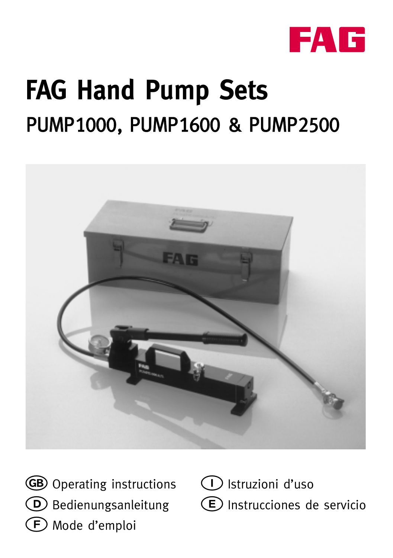

# **FAG Hand Pump Sets** PUMP1000, PUMP1600 & PUMP2500



GB Operating instructions  $\circled{D}$  Bedienungsanleitung Mode d'emploi

 Istruzioni d'uso Instrucciones de servicio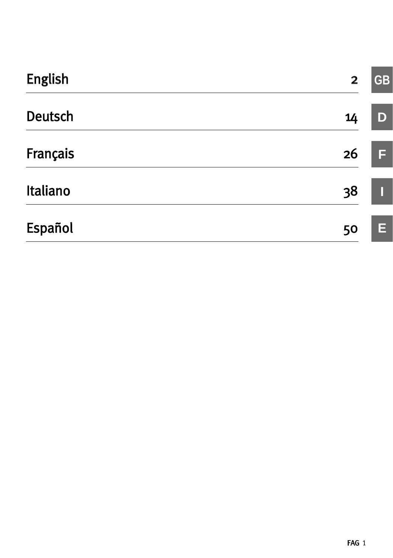| <b>English</b> | $\overline{2}$  | <b>GB</b> |
|----------------|-----------------|-----------|
| <b>Deutsch</b> | 14              | D         |
| Français       | 26 <sup>°</sup> | F         |
| Italiano       | 38              |           |
| Español        | 50              | Ε         |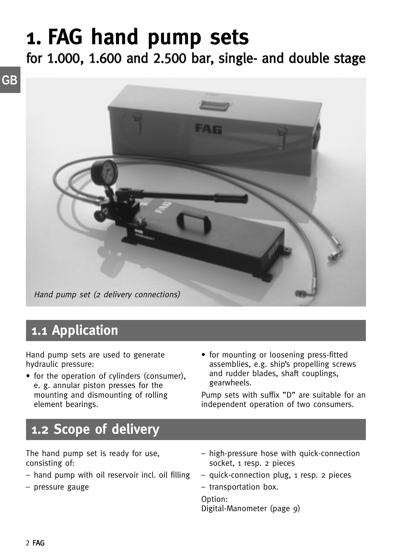## **1. FAG hand pump sets**

for 1.000, 1.600 and 2.500 bar, single- and double stage



### **1.1 Application**

Hand pump sets are used to generate hydraulic pressure:

- for the operation of cylinders (consumer), e. g. annular piston presses for the mounting and dismounting of rolling element bearings.
- for mounting or loosening press-fitted assemblies, e.g. ship's propelling screws and rudder blades, shaft couplings, gearwheels.

Pump sets with suffix "D" are suitable for an independent operation of two consumers.

### **1.2 Scope of delivery**

The hand pump set is ready for use, consisting of:

- hand pump with oil reservoir incl. oil filling
- pressure gauge
- high-pressure hose with quick-connection socket, 1 resp. 2 pieces
- quick-connection plug, 1 resp. 2 pieces

– transportation box.

Option: Digital-Manometer (page 9)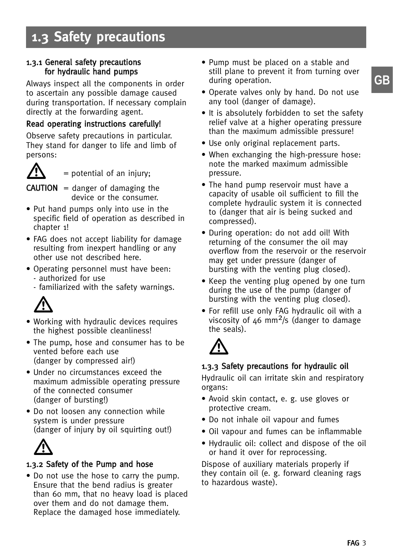### **1.3 Safety precautions**

#### 1.3.1 General safety precautions for hydraulic hand pumps

Always inspect all the components in order to ascertain any possible damage caused during transportation. If necessary complain directly at the forwarding agent.

### Read operating instructions carefully!

Observe safety precautions in particular. They stand for danger to life and limb of persons:



= potential of an injury;

**CAUTION** = danger of damaging the device or the consumer.

- Put hand pumps only into use in the specific field of operation as described in chapter 1!
- FAG does not accept liability for damage resulting from inexpert handling or any other use not described here.
- Operating personnel must have been: - authorized for use
	- familiarized with the safety warnings.



- Working with hydraulic devices requires the highest possible cleanliness!
- The pump, hose and consumer has to be vented before each use (danger by compressed air!)
- Under no circumstances exceed the maximum admissible operating pressure of the connected consumer (danger of bursting!)
- Do not loosen any connection while system is under pressure (danger of injury by oil squirting out!)



### 1.3.2 Safety of the Pump and hose

• Do not use the hose to carry the pump. Ensure that the bend radius is greater than 60 mm, that no heavy load is placed over them and do not damage them. Replace the damaged hose immediately.

- Pump must be placed on a stable and still plane to prevent it from turning over during operation.
- Operate valves only by hand. Do not use any tool (danger of damage).
- It is absolutely forbidden to set the safety relief valve at a higher operating pressure than the maximum admissible pressure!
- Use only original replacement parts.
- When exchanging the high-pressure hose: note the marked maximum admissible pressure.
- The hand pump reservoir must have a capacity of usable oil sufficient to fill the complete hydraulic system it is connected to (danger that air is being sucked and compressed).
- During operation: do not add oil! With returning of the consumer the oil may overflow from the reservoir or the reservoir may get under pressure (danger of bursting with the venting plug closed).
- Keep the venting plug opened by one turn during the use of the pump (danger of bursting with the venting plug closed).
- For refill use only FAG hydraulic oil with a viscosity of 46 mm<sup>2</sup>/s (danger to damage the seals).



#### 1.3.3 Safety precautions for hydraulic oil

Hydraulic oil can irritate skin and respiratory organs:

- Avoid skin contact, e. g. use gloves or protective cream.
- Do not inhale oil vapour and fumes
- Oil vapour and fumes can be inflammable
- Hydraulic oil: collect and dispose of the oil or hand it over for reprocessing.

Dispose of auxiliary materials properly if they contain oil (e. g. forward cleaning rags to hazardous waste).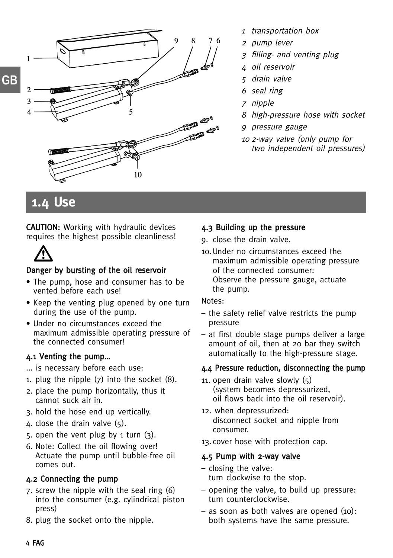

- 1 transportation box
- <sup>2</sup> pump lever
- 3 filling- and venting plug
- 4 oil reservoir
- 5 drain valve
- 6 seal ring
- 7 nipple
- 8 high-pressure hose with socket
- 9 pressure gauge
- <sup>10</sup> 2-way valve (only pump for two independent oil pressures)

### **1.4 Use**

CAUTION: Working with hydraulic devices requires the highest possible cleanliness!



### Danger by bursting of the oil reservoir

- The pump, hose and consumer has to be vented before each use!
- Keep the venting plug opened by one turn during the use of the pump.
- Under no circumstances exceed the maximum admissible operating pressure of the connected consumer!

### 4.1 Venting the pump…

- ... is necessary before each use:
- 1. plug the nipple (7) into the socket (8).
- 2. place the pump horizontally, thus it cannot suck air in.
- 3. hold the hose end up vertically.
- 4. close the drain valve  $(5)$ .
- 5. open the vent plug by 1 turn  $(3)$ .
- 6. Note: Collect the oil flowing over! Actuate the pump until bubble-free oil comes out.

### 4.2 Connecting the pump

- 7. screw the nipple with the seal ring (6) into the consumer (e.g. cylindrical piston press)
- 8. plug the socket onto the nipple.

### 4.3 Building up the pressure

- 9. close the drain valve.
- 10.Under no circumstances exceed the maximum admissible operating pressure of the connected consumer: Observe the pressure gauge, actuate the pump.

#### Notes:

- the safety relief valve restricts the pump pressure
- at first double stage pumps deliver a large amount of oil, then at 20 bar they switch automatically to the high-pressure stage.

### 4.4 Pressure reduction, disconnecting the pump

- 11. open drain valve slowly (5) (system becomes depressurized, oil flows back into the oil reservoir).
- 12. when depressurized: disconnect socket and nipple from consumer.
- 13.cover hose with protection cap.

### 4.5 Pump with 2-way valve

- closing the valve: turn clockwise to the stop.
- opening the valve, to build up pressure: turn counterclockwise.
- as soon as both valves are opened (10): both systems have the same pressure.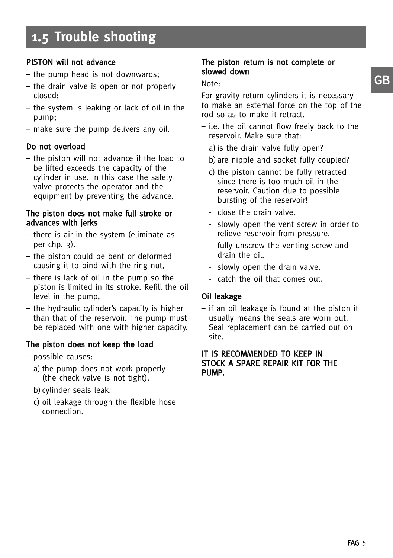### PISTON will not advance

- the pump head is not downwards;
- the drain valve is open or not properly closed;
- the system is leaking or lack of oil in the pump;
- make sure the pump delivers any oil.

### Do not overload

– the piston will not advance if the load to be lifted exceeds the capacity of the cylinder in use. In this case the safety valve protects the operator and the equipment by preventing the advance.

#### The piston does not make full stroke or advances with jerks

- there is air in the system (eliminate as per chp. 3).
- the piston could be bent or deformed causing it to bind with the ring nut,
- there is lack of oil in the pump so the piston is limited in its stroke. Refill the oil level in the pump,
- the hydraulic cylinder's capacity is higher than that of the reservoir. The pump must be replaced with one with higher capacity.

### The piston does not keep the load

- possible causes:
	- a) the pump does not work properly (the check valve is not tight).
	- b)cylinder seals leak.
	- c) oil leakage through the flexible hose connection.

### The piston return is not complete or slowed down

#### Note:

For gravity return cylinders it is necessary to make an external force on the top of the rod so as to make it retract.

- i.e. the oil cannot flow freely back to the reservoir. Make sure that:
	- a) is the drain valve fully open?
	- b)are nipple and socket fully coupled?
	- c) the piston cannot be fully retracted since there is too much oil in the reservoir. Caution due to possible bursting of the reservoir!
	- close the drain valve.
	- slowly open the vent screw in order to relieve reservoir from pressure.
	- fully unscrew the venting screw and drain the oil.
	- slowly open the drain valve.
	- catch the oil that comes out.

### Oil leakage

– if an oil leakage is found at the piston it usually means the seals are worn out. Seal replacement can be carried out on site.

#### IT IS RECOMMENDED TO KEEP IN STOCK A SPARE REPAIR KIT FOR THE PUMP.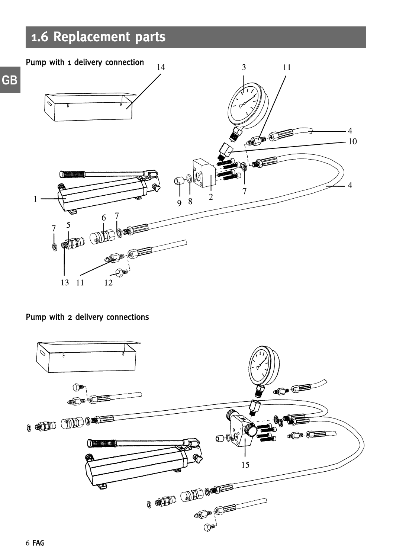### **1.6 Replacement parts**



Pump with 2 delivery connections

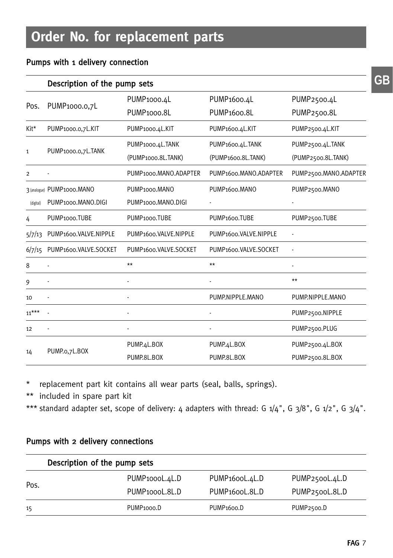### Pumps with 1 delivery connection

|                | Description of the pump sets |                                    |                                    |                       |  |  |  |
|----------------|------------------------------|------------------------------------|------------------------------------|-----------------------|--|--|--|
|                | PUMP <sub>1000</sub> .0.7L   | PUMP <sub>1000.4</sub> L           | PUMP <sub>1600.4</sub> L           | PUMP2500.4L           |  |  |  |
| Pos.           |                              | PUMP <sub>1000.8L</sub>            | PUMP <sub>1600.8L</sub>            | PUMP2500.8L           |  |  |  |
| Kit*           | PUMP1000.0,7L.KIT            | PUMP1000.4L.KIT                    | PUMP1600.4L.KIT                    | PUMP2500.4L.KIT       |  |  |  |
|                |                              | PUMP1000.4L.TANK                   | PUMP1600.4L.TANK                   | PUMP2500.4L.TANK      |  |  |  |
| 1              | PUMP1000.0,7L.TANK           | (PUMP1000.8L.TANK)                 | (PUMP1600.8L.TANK)                 | (PUMP2500.8L.TANK)    |  |  |  |
| $\overline{2}$ |                              | PUMP1000.MANO.ADAPTER              | PUMP1600.MANO.ADAPTER              | PUMP2500.MANO.ADAPTER |  |  |  |
|                | 3 (analogue) PUMP1000.MANO   | PUMP <sub>1000</sub> .MANO         | PUMP <sub>1600</sub> .MANO         | PUMP2500.MANO         |  |  |  |
| (digital)      | PUMP1000.MANO.DIGI           | PUMP1000.MANO.DIGI                 |                                    |                       |  |  |  |
| 4              | PUMP1000.TUBE                | PUMP <sub>1000</sub> .TUBE         | PUMP <sub>1600</sub> .TUBE         | PUMP2500.TUBE         |  |  |  |
| 5/7/13         | PUMP1600.VALVE.NIPPLE        | PUMP1600.VALVE.NIPPLE              | PUMP1600.VALVE.NIPPLE              |                       |  |  |  |
| 6/7/15         | PUMP1600.VALVE.SOCKET        | PUMP <sub>1600</sub> .VALVE.SOCKET | PUMP <sub>1600</sub> .VALVE.SOCKET |                       |  |  |  |
| 8              |                              | $\star\star$                       | $**$                               |                       |  |  |  |
| 9              |                              |                                    |                                    | $**$                  |  |  |  |
| 10             |                              |                                    | PUMP.NIPPLE.MANO                   | PUMP.NIPPLE.MANO      |  |  |  |
| $11***$        |                              |                                    |                                    | PUMP2500.NIPPLE       |  |  |  |
| 12             |                              |                                    |                                    | PUMP2500.PLUG         |  |  |  |
|                |                              | PUMP.4L.BOX                        | PUMP.4L.BOX                        | PUMP2500.4L.BOX       |  |  |  |
| 14             | PUMP.o,7L.BOX                | PUMP.8L.BOX                        | PUMP.8L.BOX                        | PUMP2500.8L.BOX       |  |  |  |

\* replacement part kit contains all wear parts (seal, balls, springs).

\*\* included in spare part kit

\*\*\* standard adapter set, scope of delivery: 4 adapters with thread: G  $1/4$ ", G  $3/8$ ", G  $1/2$ ", G  $3/4$ ".

### Pumps with 2 delivery connections

|      | Description of the pump sets |                             |                         |  |  |  |
|------|------------------------------|-----------------------------|-------------------------|--|--|--|
|      | PUMP <sub>1000</sub> L.4L.D  | PUMP <sub>1600</sub> L.4L.D | PUMP2500L.4L.D          |  |  |  |
| Pos. | PUMP <sub>1000</sub> L.8L.D  | PUMP <sub>1600</sub> L.8L.D | PUMP2500L.8L.D          |  |  |  |
| 15   | PUMP <sub>1000</sub> .D      | PUMP <sub>1600</sub> .D     | PUMP <sub>2500</sub> .D |  |  |  |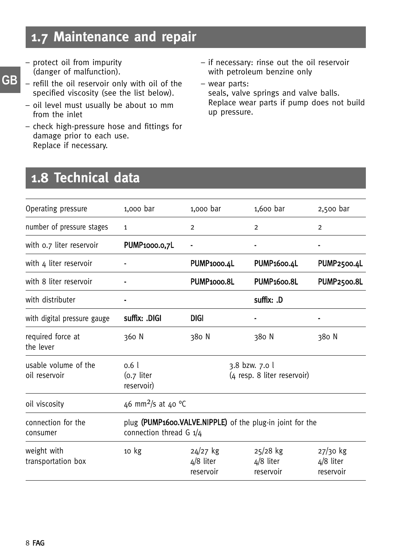### **1.7 Maintenance and repair**

- protect oil from impurity (danger of malfunction).
- refill the oil reservoir only with oil of the specified viscosity (see the list below). **GB**
	- oil level must usually be about 10 mm from the inlet
	- check high-pressure hose and fittings for damage prior to each use. Replace if necessary.
- if necessary: rinse out the oil reservoir with petroleum benzine only
- wear parts: seals, valve springs and valve balls. Replace wear parts if pump does not build up pressure.

### **1.8 Technical data**

| Operating pressure                    | 1,000 bar                                       | 1,000 bar                            | $1,600$ bar                                               | 2,500 bar                            |
|---------------------------------------|-------------------------------------------------|--------------------------------------|-----------------------------------------------------------|--------------------------------------|
| number of pressure stages             | 1                                               | $\overline{2}$                       | $\overline{2}$                                            | $\overline{2}$                       |
| with 0.7 liter reservoir              | PUMP1000.0,7L                                   |                                      |                                                           |                                      |
| with 4 liter reservoir                |                                                 | PUMP1000.4L                          | PUMP <sub>1600.4</sub> L                                  | PUMP2500.4L                          |
| with 8 liter reservoir                |                                                 | PUMP <sub>1000.8L</sub>              | <b>PUMP1600.8L</b>                                        | <b>PUMP2500.8L</b>                   |
| with distributer                      |                                                 |                                      | suffix: .D                                                |                                      |
| with digital pressure gauge           | suffix: .DIGI                                   | <b>DIGI</b>                          |                                                           |                                      |
| required force at<br>the lever        | 360 N                                           | 380 N                                | 380 N                                                     | 380 N                                |
| usable volume of the<br>oil reservoir | 0.6 <sub>1</sub><br>$(0.7)$ liter<br>reservoir) |                                      | 3.8 bzw. 7.0 l<br>(4 resp. 8 liter reservoir)             |                                      |
| oil viscosity                         | 46 mm <sup>2</sup> /s at 40 °C                  |                                      |                                                           |                                      |
| connection for the<br>consumer        | connection thread G $1/4$                       |                                      | plug (PUMP1600.VALVE.NIPPLE) of the plug-in joint for the |                                      |
| weight with<br>transportation box     | 10 kg                                           | $24/27$ kg<br>4/8 liter<br>reservoir | $25/28$ kg<br>4/8 liter<br>reservoir                      | $27/30$ kg<br>4/8 liter<br>reservoir |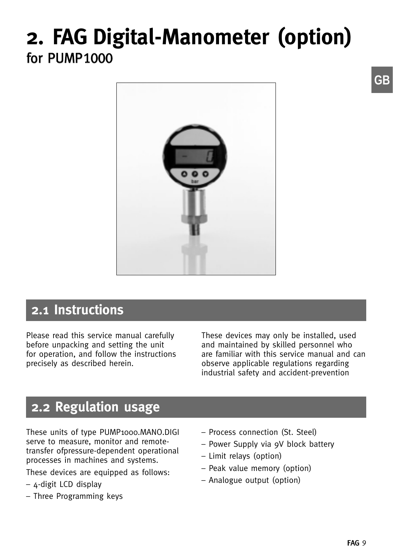## **2. FAG Digital-Manometer (option)** for PUMP1000



### **2.1 Instructions**

Please read this service manual carefully before unpacking and setting the unit for operation, and follow the instructions precisely as described herein.

These devices may only be installed, used and maintained by skilled personnel who are familiar with this service manual and can observe applicable regulations regarding industrial safety and accident-prevention

### **2.2 Regulation usage**

These units of type PUMP1000.MANO.DIGI serve to measure, monitor and remotetransfer ofpressure-dependent operational processes in machines and systems.

These devices are equipped as follows:

- 4-digit LCD display
- Three Programming keys
- Process connection (St. Steel)
- Power Supply via 9V block battery
- Limit relays (option)
- Peak value memory (option)
- Analogue output (option)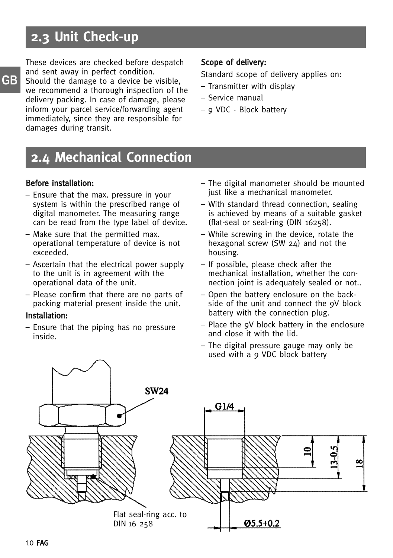### **2.3 Unit Check-up**

These devices are checked before despatch and sent away in perfect condition. Should the damage to a device be visible, we recommend a thorough inspection of the delivery packing. In case of damage, please inform your parcel service/forwarding agent immediately, since they are responsible for damages during transit.

### Scope of delivery:

Standard scope of delivery applies on:

- Transmitter with display
- Service manual
- 9 VDC Block battery

### **2.4 Mechanical Connection**

#### Before installation:

- Ensure that the max. pressure in your system is within the prescribed range of digital manometer. The measuring range can be read from the type label of device.
- Make sure that the permitted max. operational temperature of device is not exceeded.
- Ascertain that the electrical power supply to the unit is in agreement with the operational data of the unit.
- Please confirm that there are no parts of packing material present inside the unit.

#### Installation:

– Ensure that the piping has no pressure inside.

- The digital manometer should be mounted just like a mechanical manometer.
- With standard thread connection, sealing is achieved by means of a suitable gasket (flat-seal or seal-ring (DIN 16258).
- While screwing in the device, rotate the hexagonal screw (SW 24) and not the housing.
- If possible, please check after the mechanical installation, whether the connection joint is adequately sealed or not..
- Open the battery enclosure on the backside of the unit and connect the 9V block battery with the connection plug.
- Place the 9V block battery in the enclosure and close it with the lid.
- The digital pressure gauge may only be used with a 9 VDC block battery

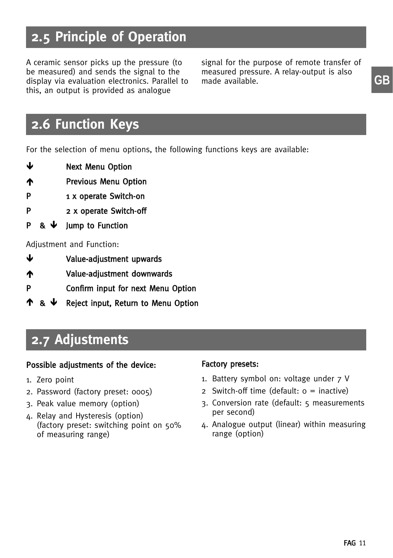### **2.5 Principle of Operation**

A ceramic sensor picks up the pressure (to be measured) and sends the signal to the display via evaluation electronics. Parallel to this, an output is provided as analogue

signal for the purpose of remote transfer of measured pressure. A relay-output is also made available. **Figure 3** and **GB** 

### **2.6 Function Keys**

For the selection of menu options, the following functions keys are available:

- ىل Next Menu Option
- **The Previous Menu Option**
- P 1 x operate Switch-on
- P 2 x operate Switch-off
- $\mathbf{p}$ Jump to Function

Adjustment and Function:

- $\mathbf{r}$ Value-adjustment upwards
- Value-adjustment downwards
- P Confirm input for next Menu Option
- <u>ተ & ↓</u> Reject input, Return to Menu Option

### **2.7 Adjustments**

#### Possible adjustments of the device:

- 1. Zero point
- 2. Password (factory preset: 0005)
- 3. Peak value memory (option)
- 4. Relay and Hysteresis (option) (factory preset: switching point on 50% of measuring range)

#### Factory presets:

- 1. Battery symbol on: voltage under 7 V
- 2 Switch-off time (default:  $o =$  inactive)
- 3. Conversion rate (default: 5 measurements per second)
- 4. Analogue output (linear) within measuring range (option)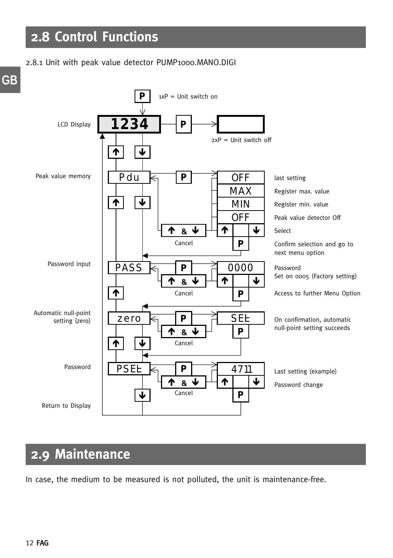#### 2.8.1 Unit with peak value detector PUMP1000.MANO.DIGI



### **2.9 Maintenance**

In case, the medium to be measured is not polluted, the unit is maintenance-free.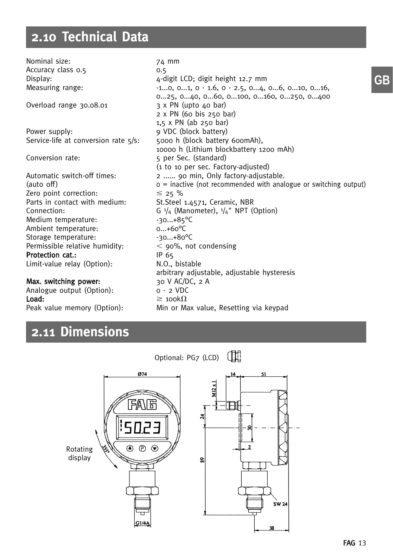### **2.10 Technical Data**

Nominal size: 74 mm Accuracy class 0.5 0.5 Display: 4-digit LCD; digit height 12.7 mm Measuring range:  $-1...0$ , 0...1, 0 - 1.6, 0 - 2.5, 0...4, 0...6, 0...10, 0...16, 0...25, 0...40, 0...60, 0...100, 0...160, 0...250, 0...400 Overload range 30.08.01  $\overline{3} \times \overline{PN}$  (upto 40 bar) 2 x PN (60 bis 250 bar) 1,5 x PN (ab 250 bar) Power supply: 9 VDC (block battery)<br>Service-life at conversion rate 5/s: 5000 h (block battery 600mAh). Service-life at conversion rate  $5/s$ : 10000 h (Lithium blockbattery 1200 mAh) Conversion rate: 5 per Sec. (standard) (1 to 10 per sec. Factory-adjusted) Automatic switch-off times: 2 ...... 90 min, Only factory-adjustable. (auto off)  $\sigma =$  inactive (not recommended with analogue or switching output) Zero point correction:<br>Parts in contact with medium:  $\leq$  25 % St.Steel 1.4571, Ceramic, NBR Connection: G  $\frac{1}{4}$  (Manometer),  $\frac{1}{4}$ " NPT (Option) Medium temperature:  $-30...+85^{\circ}$ C Ambient temperature: 0...+60°C<br>Storage temperature: 30...+80°C Storage temperature: Permissible relative humidity:  $\leq$  90%, not condensing Protection cat.: IP 65 Limit-value relay (Option): N.O., bistable arbitrary adjustable, adjustable hysteresis Max. switching power: 30 V AC/DC, 2 A Analogue output (Option): 0 - 2 VDC

Load:  $\geq 100k\Omega$ Peak value memory (Option): Min or Max value, Resetting via keypad

### **2.11 Dimensions**

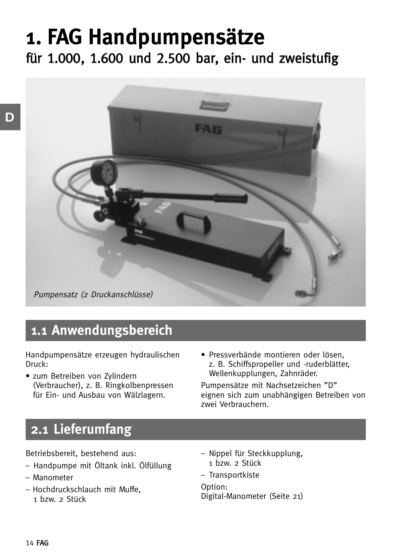# **1. FAG Handpumpensätze**

für 1.000, 1.600 und 2.500 bar, ein- und zweistufig



### **1.1 Anwendungsbereich**

Handpumpensätze erzeugen hydraulischen Druck:

- zum Betreiben von Zylindern (Verbraucher), z. B. Ringkolbenpressen für Ein- und Ausbau von Wälzlagern.
- Pressverbände montieren oder lösen, z. B. Schiffspropeller und -ruderblätter, Wellenkupplungen, Zahnräder.

Pumpensätze mit Nachsetzeichen "D" eignen sich zum unabhängigen Betreiben von zwei Verbrauchern.

### **2.1 Lieferumfang**

Betriebsbereit, bestehend aus:

- Handpumpe mit Öltank inkl. Ölfüllung
- Manometer
- Hochdruckschlauch mit Muffe, 1 bzw. 2 Stück
- Nippel für Steckkupplung, 1 bzw. 2 Stück
- Transportkiste

Option: Digital-Manometer (Seite 21)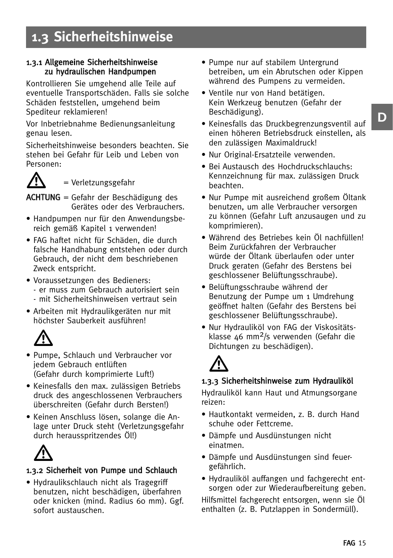### **1.3 Sicherheitshinweise**

#### 1.3.1 Allgemeine Sicherheitshinweise zu hydraulischen Handpumpen

Kontrollieren Sie umgehend alle Teile auf eventuelle Transportschäden. Falls sie solche Schäden feststellen, umgehend beim Spediteur reklamieren!

Vor Inbetriebnahme Bedienungsanleitung genau lesen.

Sicherheitshinweise besonders beachten. Sie stehen bei Gefahr für Leib und Leben von Personen:



= Verletzungsgefahr

ACHTUNG = Gefahr der Beschädigung des Gerätes oder des Verbrauchers.

- Handpumpen nur für den Anwendungsbereich gemäß Kapitel 1 verwenden!
- FAG haftet nicht für Schäden, die durch falsche Handhabung entstehen oder durch Gebrauch, der nicht dem beschriebenen Zweck entspricht.
- Voraussetzungen des Bedieners: - er muss zum Gebrauch autorisiert sein - mit Sicherheitshinweisen vertraut sein
- Arbeiten mit Hydraulikgeräten nur mit höchster Sauberkeit ausführen!



- Pumpe, Schlauch und Verbraucher vor jedem Gebrauch entlüften (Gefahr durch komprimierte Luft!)
- Keinesfalls den max. zulässigen Betriebs druck des angeschlossenen Verbrauchers überschreiten (Gefahr durch Bersten!)
- Keinen Anschluss lösen, solange die Anlage unter Druck steht (Verletzungsgefahr durch herausspritzendes Öl!)

 $\bigtriangleup$ 

### 1.3.2 Sicherheit von Pumpe und Schlauch

• Hydraulikschlauch nicht als Tragegriff benutzen, nicht beschädigen, überfahren oder knicken (mind. Radius 60 mm). Ggf. sofort austauschen.

- Pumpe nur auf stabilem Untergrund betreiben, um ein Abrutschen oder Kippen während des Pumpens zu vermeiden.
- Ventile nur von Hand betätigen. Kein Werkzeug benutzen (Gefahr der Beschädigung).
- Keinesfalls das Druckbegrenzungsventil auf einen höheren Betriebsdruck einstellen, als den zulässigen Maximaldruck!
- Nur Original-Ersatzteile verwenden.
- Bei Austausch des Hochdruckschlauchs: Kennzeichnung für max. zulässigen Druck beachten.
- Nur Pumpe mit ausreichend großem Öltank benutzen, um alle Verbraucher versorgen zu können (Gefahr Luft anzusaugen und zu komprimieren).
- Während des Betriebes kein Öl nachfüllen! Beim Zurückfahren der Verbraucher würde der Öltank überlaufen oder unter Druck geraten (Gefahr des Berstens bei geschlossener Belüftungsschraube).
- Belüftungsschraube während der Benutzung der Pumpe um 1 Umdrehung geöffnet halten (Gefahr des Berstens bei geschlossener Belüftungsschraube).
- Nur Hydrauliköl von FAG der Viskositätsklasse 46 mm2/s verwenden (Gefahr die Dichtungen zu beschädigen).

## $\bigtriangleup$

### 1.3.3 Sicherheitshinweise zum Hydrauliköl

Hydrauliköl kann Haut und Atmungsorgane reizen:

- Hautkontakt vermeiden, z. B. durch Hand schuhe oder Fettcreme.
- Dämpfe und Ausdünstungen nicht einatmen.
- Dämpfe und Ausdünstungen sind feuergefährlich.
- Hydrauliköl auffangen und fachgerecht entsorgen oder zur Wiederaufbereitung geben.

Hilfsmittel fachgerecht entsorgen, wenn sie Öl enthalten (z. B. Putzlappen in Sondermüll).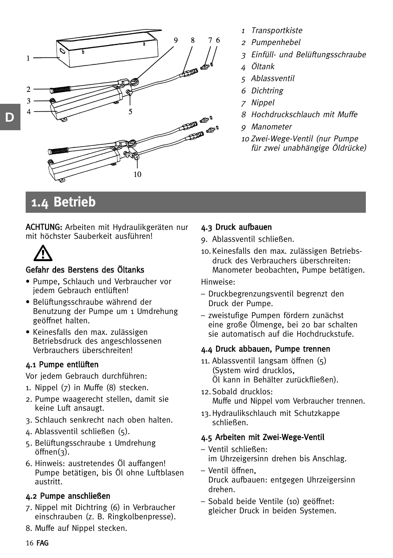

- 1 Transportkiste
- <sup>2</sup> Pumpenhebel
- 3 Einfüll- und Belüftungsschraube
- <sup>4</sup> Öltank
- 5 Ablassventil
- 6 Dichtring
- 7 Nippel
- 8 Hochdruckschlauch mit Muffe
- 9 Manometer
- <sup>10</sup> Zwei-Wege-Ventil (nur Pumpe für zwei unabhängige Öldrücke)

### **1.4 Betrieb**

ACHTUNG: Arbeiten mit Hydraulikgeräten nur mit höchster Sauberkeit ausführen!



### Gefahr des Berstens des Öltanks

- Pumpe, Schlauch und Verbraucher vor jedem Gebrauch entlüften!
- Belüftungsschraube während der Benutzung der Pumpe um 1 Umdrehung geöffnet halten.
- Keinesfalls den max. zulässigen Betriebsdruck des angeschlossenen Verbrauchers überschreiten!

### 4.1 Pumpe entlüften

Vor jedem Gebrauch durchführen:

- 1. Nippel (7) in Muffe (8) stecken.
- 2. Pumpe waagerecht stellen, damit sie keine Luft ansaugt.
- 3. Schlauch senkrecht nach oben halten.
- 4. Ablassventil schließen (5).
- 5. Belüftungsschraube 1 Umdrehung öffnen(3).
- 6. Hinweis: austretendes Öl auffangen! Pumpe betätigen, bis Öl ohne Luftblasen austritt.

### 4.2 Pumpe anschließen

- 7. Nippel mit Dichtring (6) in Verbraucher einschrauben (z. B. Ringkolbenpresse).
- 8. Muffe auf Nippel stecken.

### 4.3 Druck aufbauen

- 9. Ablassventil schließen.
- 10.Keinesfalls den max. zulässigen Betriebsdruck des Verbrauchers überschreiten: Manometer beobachten, Pumpe betätigen.

Hinweise:

- Druckbegrenzungsventil begrenzt den Druck der Pumpe.
- zweistufige Pumpen fördern zunächst eine große Ölmenge, bei 20 bar schalten sie automatisch auf die Hochdruckstufe.

### 4.4 Druck abbauen, Pumpe trennen

- 11. Ablassventil langsam öffnen (5) (System wird drucklos, Öl kann in Behälter zurückfließen).
- 12.Sobald drucklos: Muffe und Nippel vom Verbraucher trennen.
- 13.Hydraulikschlauch mit Schutzkappe schließen.

### 4.5 Arbeiten mit Zwei-Wege-Ventil

- Ventil schließen: im Uhrzeigersinn drehen bis Anschlag.
- Ventil öffnen, Druck aufbauen: entgegen Uhrzeigersinn drehen.
- Sobald beide Ventile (10) geöffnet: gleicher Druck in beiden Systemen.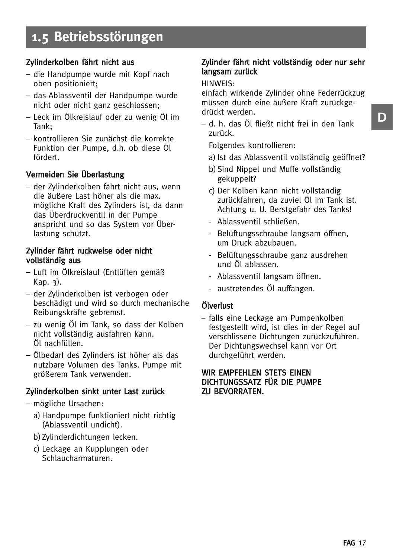### Zylinderkolben fährt nicht aus

- die Handpumpe wurde mit Kopf nach oben positioniert;
- das Ablassventil der Handpumpe wurde nicht oder nicht ganz geschlossen;
- Leck im Ölkreislauf oder zu wenig Öl im Tank;
- kontrollieren Sie zunächst die korrekte Funktion der Pumpe, d.h. ob diese Öl fördert.

### Vermeiden Sie Überlastung

– der Zylinderkolben fährt nicht aus, wenn die äußere Last höher als die max. mögliche Kraft des Zylinders ist, da dann das Überdruckventil in der Pumpe anspricht und so das System vor Überlastung schützt.

#### Zylinder fährt ruckweise oder nicht vollständig aus

- Luft im Ölkreislauf (Entlüften gemäß Kap. 3).
- der Zylinderkolben ist verbogen oder beschädigt und wird so durch mechanische Reibungskräfte gebremst.
- zu wenig Öl im Tank, so dass der Kolben nicht vollständig ausfahren kann. Öl nachfüllen.
- Ölbedarf des Zylinders ist höher als das nutzbare Volumen des Tanks. Pumpe mit größerem Tank verwenden.

### Zylinderkolben sinkt unter Last zurück

- mögliche Ursachen:
	- a) Handpumpe funktioniert nicht richtig (Ablassventil undicht).
	- b)Zylinderdichtungen lecken.
	- c) Leckage an Kupplungen oder Schlaucharmaturen.

#### Zylinder fährt nicht vollständig oder nur sehr langsam zurück

#### HINWEIS:

einfach wirkende Zylinder ohne Federrückzug müssen durch eine äußere Kraft zurückgedrückt werden.

– d. h. das Öl fließt nicht frei in den Tank zurück.

Folgendes kontrollieren:

- a) Ist das Ablassventil vollständig geöffnet?
- b)Sind Nippel und Muffe vollständig gekuppelt?
- c) Der Kolben kann nicht vollständig zurückfahren, da zuviel Öl im Tank ist. Achtung u. U. Berstgefahr des Tanks!
- Ablassventil schließen.
- Belüftungsschraube langsam öffnen, um Druck abzubauen.
- Belüftungsschraube ganz ausdrehen und Öl ablassen.
- Ablassventil langsam öffnen.
- austretendes Öl auffangen.

#### Ölverlust

– falls eine Leckage am Pumpenkolben festgestellt wird, ist dies in der Regel auf verschlissene Dichtungen zurückzuführen. Der Dichtungswechsel kann vor Ort durchgeführt werden.

#### WIR EMPFEHLEN STETS EINEN DICHTUNGSSATZ FÜR DIE PUMPE ZU BEVORRATEN.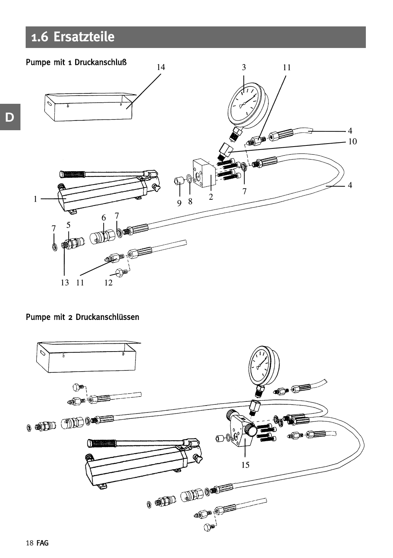### **1.6 Ersatzteile**



### Pumpe mit 2 Druckanschlüssen



**D**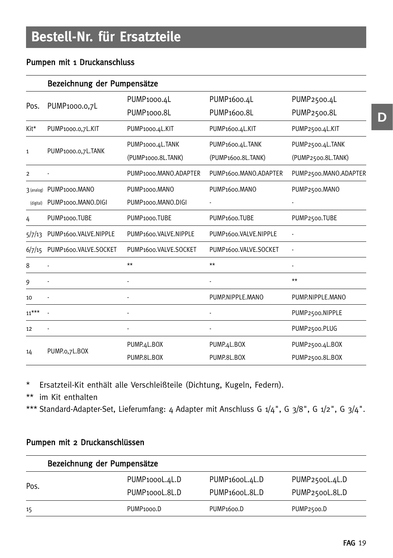### Pumpen mit 1 Druckanschluss

|              | Bezeichnung der Pumpensätze |                            |                                    |                       |  |  |  |
|--------------|-----------------------------|----------------------------|------------------------------------|-----------------------|--|--|--|
| Pos.         | PUMP1000.0,7L               | PUMP <sub>1000.4</sub> L   | PUMP <sub>1600.4</sub> L           | PUMP2500.4L           |  |  |  |
|              |                             | PUMP <sub>1000.8L</sub>    | PUMP <sub>1600.8L</sub>            | PUMP2500.8L           |  |  |  |
| Kit*         | PUMP1000.0,7L.KIT           | PUMP1000.4L.KIT            | PUMP1600.4L.KIT                    | PUMP2500.4L.KIT       |  |  |  |
|              |                             | PUMP1000.4L.TANK           | PUMP1600.4L.TANK                   | PUMP2500.4L.TANK      |  |  |  |
| $\mathbf{1}$ | PUMP1000.0,7L.TANK          | (PUMP1000.8L.TANK)         | (PUMP1600.8L.TANK)                 | (PUMP2500.8L.TANK)    |  |  |  |
| 2            |                             | PUMP1000.MANO.ADAPTER      | PUMP1600.MANO.ADAPTER              | PUMP2500.MANO.ADAPTER |  |  |  |
| 3 (analog)   | PUMP1000.MANO               | PUMP <sub>1000</sub> .MANO | PUMP <sub>1600</sub> .MANO         | PUMP2500.MANO         |  |  |  |
| (digital)    | PUMP1000.MANO.DIGI          | PUMP1000.MANO.DIGI         |                                    |                       |  |  |  |
| 4            | PUMP1000.TUBE               | PUMP1000.TUBE              | PUMP <sub>1600</sub> .TUBE         | PUMP2500.TUBE         |  |  |  |
| 5/7/13       | PUMP1600.VALVE.NIPPLE       | PUMP1600.VALVE.NIPPLE      | PUMP1600.VALVE.NIPPLE              |                       |  |  |  |
| 6/7/15       | PUMP1600.VALVE.SOCKET       | PUMP1600.VALVE.SOCKET      | PUMP <sub>1600</sub> .VALVE.SOCKET |                       |  |  |  |
| 8            |                             | $**$                       | $**$                               |                       |  |  |  |
| 9            |                             |                            |                                    | $**$                  |  |  |  |
| 10           |                             |                            | PUMP.NIPPLE.MANO                   | PUMP.NIPPLE.MANO      |  |  |  |
| $11***$      |                             |                            |                                    | PUMP2500.NIPPLE       |  |  |  |
| 12           |                             |                            |                                    | PUMP2500.PLUG         |  |  |  |
|              |                             | PUMP.4L.BOX                | PUMP.4L.BOX                        | PUMP2500.4L.BOX       |  |  |  |
| 14           | PUMP.o,7L.BOX               | PUMP.8L.BOX                | PUMP.8L.BOX                        | PUMP2500.8L.BOX       |  |  |  |

\* Ersatzteil-Kit enthält alle Verschleißteile (Dichtung, Kugeln, Federn).

\*\* im Kit enthalten

\*\*\* Standard-Adapter-Set, Lieferumfang: 4 Adapter mit Anschluss G  $1/4$ ", G  $3/8$ ", G  $1/2$ ", G  $3/4$ ".

### Pumpen mit 2 Druckanschlüssen

|      | Bezeichnung der Pumpensätze |                             |                         |  |  |
|------|-----------------------------|-----------------------------|-------------------------|--|--|
|      | PUMP <sub>1000</sub> L.4L.D | PUMP <sub>1600</sub> L.4L.D | PUMP2500L.4L.D          |  |  |
| Pos. | PUMP <sub>1000</sub> L.8L.D | PUMP <sub>1600</sub> L.8L.D | PUMP2500L.8L.D          |  |  |
| 15   | PUMP <sub>1000</sub> .D     | PUMP <sub>1600</sub> .D     | PUMP <sub>2500</sub> .D |  |  |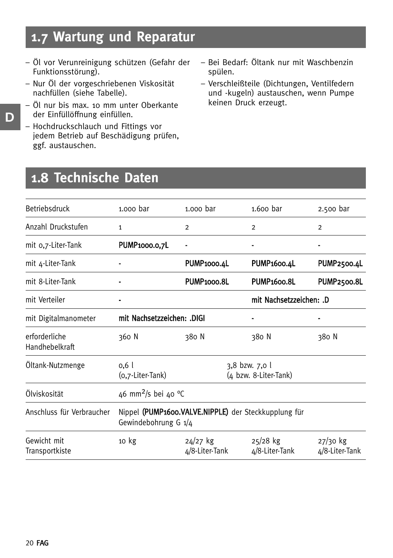### **1.7 Wartung und Reparatur**

- Öl vor Verunreinigung schützen (Gefahr der Funktionsstörung).
- Nur Öl der vorgeschriebenen Viskosität nachfüllen (siehe Tabelle).
- Öl nur bis max. 10 mm unter Oberkante der Einfüllöffnung einfüllen.
- Hochdruckschlauch und Fittings vor jedem Betrieb auf Beschädigung prüfen, ggf. austauschen.
- Bei Bedarf: Öltank nur mit Waschbenzin spülen.
- Verschleißteile (Dichtungen, Ventilfedern und -kugeln) austauschen, wenn Pumpe keinen Druck erzeugt.

### **1.8 Technische Daten**

| Betriebsdruck                   | 1.000 bar                                                                      | $1.000$ bar                  | 1.600 bar                    | 2.500 bar                    |
|---------------------------------|--------------------------------------------------------------------------------|------------------------------|------------------------------|------------------------------|
| Anzahl Druckstufen              | $\mathbf{1}$                                                                   | 2                            | $\overline{2}$               | $\overline{2}$               |
| mit 0,7-Liter-Tank              | PUMP1000.0,7L                                                                  |                              | ٠                            | ٠                            |
| mit 4-Liter-Tank                |                                                                                | PUMP1000.4L                  | PUMP <sub>1600.4</sub> L     | <b>PUMP2500.4L</b>           |
| mit 8-Liter-Tank                |                                                                                | PUMP <sub>1000.8L</sub>      | <b>PUMP1600.8L</b>           | <b>PUMP2500.8L</b>           |
| mit Verteiler                   |                                                                                |                              | mit Nachsetzzeichen: .D      |                              |
| mit Digitalmanometer            | mit Nachsetzzeichen: .DIGI                                                     |                              |                              | ٠                            |
| erforderliche<br>Handhebelkraft | 360 N                                                                          | 380 N                        | 380 N                        | 380 N                        |
| Öltank-Nutzmenge                | 3,8 bzw. 7,0 l<br>0,6<br>(4 bzw. 8-Liter-Tank)<br>(o,7-Liter-Tank)             |                              |                              |                              |
| Ölviskosität                    | 46 mm <sup>2</sup> /s bei 40 °C                                                |                              |                              |                              |
| Anschluss für Verbraucher       | Nippel (PUMP1600.VALVE.NIPPLE) der Steckkupplung für<br>Gewindebohrung G $1/4$ |                              |                              |                              |
| Gewicht mit<br>Transportkiste   | 10 <sub>kg</sub>                                                               | $24/27$ kg<br>4/8-Liter-Tank | $25/28$ kg<br>4/8-Liter-Tank | $27/30$ kg<br>4/8-Liter-Tank |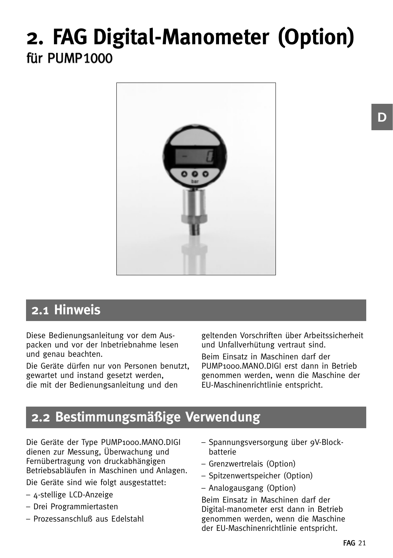## **2. FAG Digital-Manometer (Option)** für PUMP1000



### **2.1 Hinweis**

Diese Bedienungsanleitung vor dem Auspacken und vor der Inbetriebnahme lesen und genau beachten.

Die Geräte dürfen nur von Personen benutzt, gewartet und instand gesetzt werden, die mit der Bedienungsanleitung und den

geltenden Vorschriften über Arbeitssicherheit und Unfallverhütung vertraut sind.

Beim Einsatz in Maschinen darf der PUMP1000.MANO.DIGI erst dann in Betrieb genommen werden, wenn die Maschine der EU-Maschinenrichtlinie entspricht.

### **2.2 Bestimmungsmäßige Verwendung**

Die Geräte der Type PUMP1000.MANO.DIGI dienen zur Messung, Überwachung und Fernübertragung von druckabhängigen Betriebsabläufen in Maschinen und Anlagen.

Die Geräte sind wie folgt ausgestattet:

- 4-stellige LCD-Anzeige
- Drei Programmiertasten
- Prozessanschluß aus Edelstahl
- Spannungsversorgung über 9V-Blockbatterie
- Grenzwertrelais (Option)
- Spitzenwertspeicher (Option)
- Analogausgang (Option)

Beim Einsatz in Maschinen darf der Digital-manometer erst dann in Betrieb genommen werden, wenn die Maschine der EU-Maschinenrichtlinie entspricht.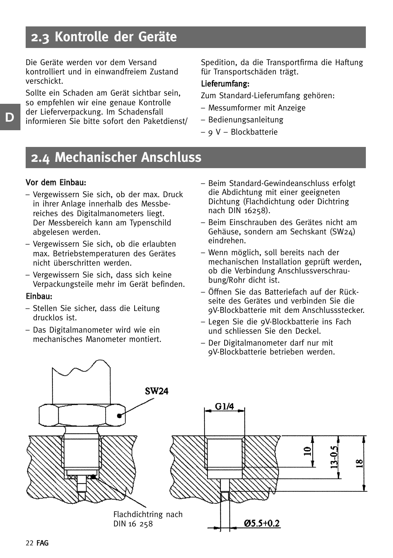### **2.3 Kontrolle der Geräte**

Die Geräte werden vor dem Versand kontrolliert und in einwandfreiem Zustand verschickt.

Sollte ein Schaden am Gerät sichtbar sein, so empfehlen wir eine genaue Kontrolle der Lieferverpackung. Im Schadensfall informieren Sie bitte sofort den Paketdienst/ Spedition, da die Transportfirma die Haftung für Transportschäden trägt.

#### Lieferumfang:

Zum Standard-Lieferumfang gehören:

- Messumformer mit Anzeige
- Bedienungsanleitung
- 9 V Blockbatterie

### **2.4 Mechanischer Anschluss**

#### Vor dem Einbau:

- Vergewissern Sie sich, ob der max. Druck in ihrer Anlage innerhalb des Messbereiches des Digitalmanometers liegt. Der Messbereich kann am Typenschild abgelesen werden.
- Vergewissern Sie sich, ob die erlaubten max. Betriebstemperaturen des Gerätes nicht überschritten werden.
- Vergewissern Sie sich, dass sich keine Verpackungsteile mehr im Gerät befinden.

#### Einbau:

- Stellen Sie sicher, dass die Leitung drucklos ist.
- Das Digitalmanometer wird wie ein mechanisches Manometer montiert.
- Beim Standard-Gewindeanschluss erfolgt die Abdichtung mit einer geeigneten Dichtung (Flachdichtung oder Dichtring nach DIN 16258).
- Beim Einschrauben des Gerätes nicht am Gehäuse, sondern am Sechskant (SW24) eindrehen.
- Wenn möglich, soll bereits nach der mechanischen Installation geprüft werden, ob die Verbindung Anschlussverschraubung/Rohr dicht ist.
- Öffnen Sie das Batteriefach auf der Rückseite des Gerätes und verbinden Sie die 9V-Blockbatterie mit dem Anschlussstecker.
- Legen Sie die 9V-Blockbatterie ins Fach und schliessen Sie den Deckel.
- Der Digitalmanometer darf nur mit 9V-Blockbatterie betrieben werden.

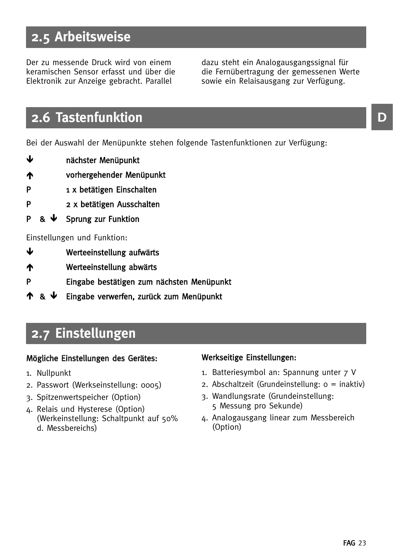### **2.5 Arbeitsweise**

Der zu messende Druck wird von einem keramischen Sensor erfasst und über die Elektronik zur Anzeige gebracht. Parallel

dazu steht ein Analogausgangssignal für die Fernübertragung der gemessenen Werte sowie ein Relaisausgang zur Verfügung.

### **2.6 Tastenfunktion**

Bei der Auswahl der Menüpunkte stehen folgende Tastenfunktionen zur Verfügung:

- $\mathbf{r}$ nächster Menüpunkt
- vorhergehender Menüpunkt
- P 1 x betätigen Einschalten
- P 2 x betätigen Ausschalten
- $P$  &  $\downarrow$ Sprung zur Funktion

#### Einstellungen und Funktion:

- ىل Werteeinstellung aufwärts
- Werteeinstellung abwärts
- P Eingabe bestätigen zum nächsten Menüpunkt
- $\blacktriangle$ Eingabe verwerfen, zurück zum Menüpunkt

### **2.7 Einstellungen**

#### Mögliche Einstellungen des Gerätes:

- 1. Nullpunkt
- 2. Passwort (Werkseinstellung: 0005)
- 3. Spitzenwertspeicher (Option)
- 4. Relais und Hysterese (Option) (Werkeinstellung: Schaltpunkt auf 50% d. Messbereichs)

### Werkseitige Einstellungen:

- 1. Batteriesymbol an: Spannung unter 7 V
- 2. Abschaltzeit (Grundeinstellung: 0 = inaktiv)
- 3. Wandlungsrate (Grundeinstellung: 5 Messung pro Sekunde)
- 4. Analogausgang linear zum Messbereich (Option)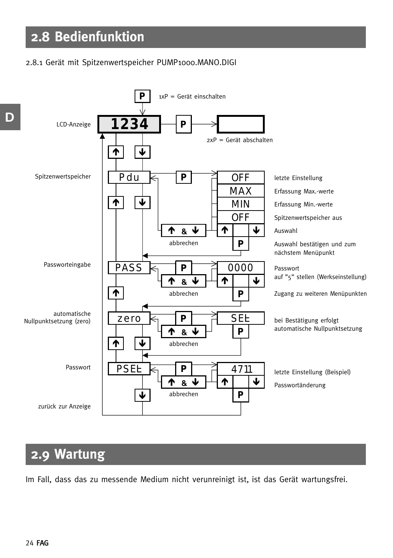#### 2.8.1 Gerät mit Spitzenwertspeicher PUMP1000.MANO.DIGI



### **2.9 Wartung**

Im Fall, dass das zu messende Medium nicht verunreinigt ist, ist das Gerät wartungsfrei.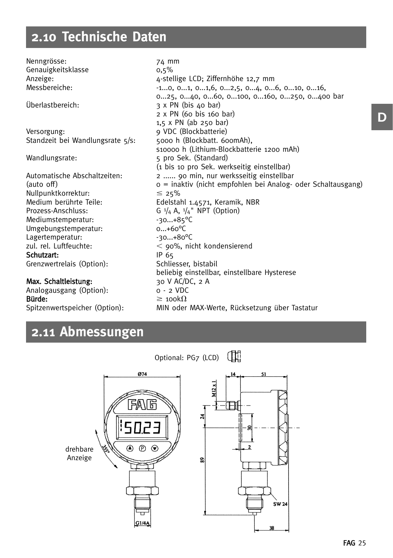### **2.10 Technische Daten**

Nenngrösse: 74 mm Genauigkeitsklasse o.5% Anzeige: 4-stellige LCD; Ziffernhöhe 12,7 mm Messbereiche: 1...0, 0...1, 0...1,6, 0...2,5, 0...4, 0...6, 0...10, 0...16, 0...16 0...25, 0...40, 0...60, 0...100, 0...160, 0...250, 0...400 bar Überlastbereich: 3 x PN (bis 40 bar) 2 x PN (60 bis 160 bar) 1,5 x PN (ab 250 bar) Versorgung: 9 VDC (Blockbatterie)<br>Standzeit bei Wandlungsrate 5/s: 5000 h (Blockbatt, 600mAh), Standzeit bei Wandlungsrate 5/s: s10000 h (Lithium-Blockbatterie 1200 mAh) Wandlungsrate: 5 pro Sek. (Standard) (1 bis 10 pro Sek. werkseitig einstellbar) Automatische Abschaltzeiten: 2 ...... 90 min, nur werksseitig einstellbar (auto off) 0 = inaktiv (nicht empfohlen bei Analog- oder Schaltausgang) Nullpunktkorrektur:<br>Medium berührte Teile:  $\leq 25\%$ Edelstahl 1.4571, Keramik, NBR Prozess-Anschluss: G <sup>1</sup>/<sub>4</sub> A, <sup>1</sup>/<sub>4</sub>" NPT (Option) Mediumstemperatur: -30...+85°C Umgebungstemperatur: 0...+60°C Lagertemperatur: zul. rel. Luftfeuchte:  $\leq$  90%, nicht kondensierend Schutzart: IP 65 Grenzwertrelais (Option): Schliesser, bistabil beliebig einstellbar, einstellbare Hysterese Max. Schaltleistung: 30 V AC/DC, 2 A Analogausgang (Option): 0 - 2 VDC

Bürde:  $\geq 100k\Omega$ Spitzenwertspeicher (Option): MIN oder MAX-Werte, Rücksetzung über Tastatur

### **2.11 Abmessungen**

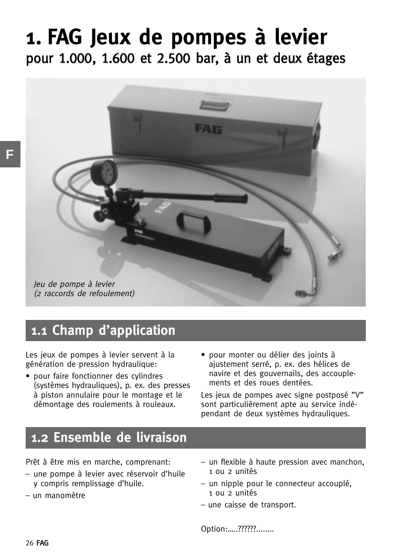## **1. FAG Jeux de pompes à levier** pour 1.000, 1.600 et 2.500 bar, à un et deux étages



### **1.1 Champ d'application**

Les jeux de pompes à levier servent à la génération de pression hydraulique:

- pour faire fonctionner des cylindres (systèmes hydrauliques), p. ex. des presses à piston annulaire pour le montage et le démontage des roulements à rouleaux.
- pour monter ou délier des joints à .<br>aiustement serré, p. ex. des hélices de navire et des gouvernails, des accouplements et des roues dentées.

Les jeux de pompes avec signe postposé "V" sont particulièrement apte au service indépendant de deux systèmes hydrauliques.

### **1.2 Ensemble de livraison**

Prêt à être mis en marche, comprenant:

- une pompe à levier avec réservoir d'huile y compris remplissage d'huile.
- un manomètre
- un flexible à haute pression avec manchon, 1 ou 2 unités
- un nipple pour le connecteur accouplé,  $1$   $01$   $2$   $1$  $\text{mifés}$
- une caisse de transport.

Option:…..??????........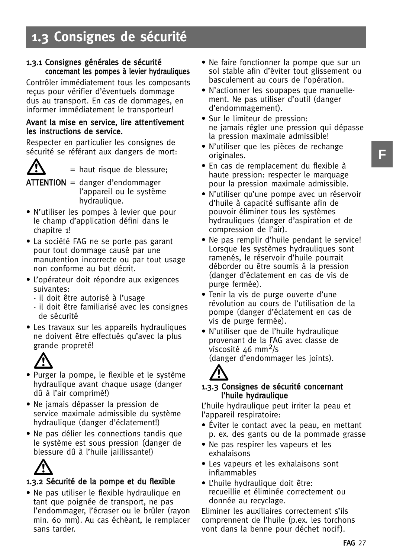### **1.3 Consignes de sécurité**

#### 1.3.1 Consignes générales de sécurité concernant les pompes à levier hydrauliques

Contrôler immédiatement tous les composants reçus pour vérifier d'éventuels dommage dus au transport. En cas de dommages, en informer immédiatement le transporteur!

#### Avant la mise en service, lire attentivement les instructions de service.

Respecter en particulier les consignes de sécurité se référant aux dangers de mort:



= haut risque de blessure;

- ATTENTION = danger d'endommager l'appareil ou le système hydraulique.
- N'utiliser les pompes à levier que pour le champ d'application défini dans le chapitre 1!
- La société FAG ne se porte pas garant pour tout dommage causé par une manutention incorrecte ou par tout usage non conforme au but décrit.
- L'opérateur doit répondre aux exigences suivantes:
	- il doit être autorisé à l'usage
	- il doit être familiarisé avec les consignes de sécurité
- Les travaux sur les appareils hydrauliques ne doivent être effectués qu'avec la plus grande propreté!



- Purger la pompe, le flexible et le système hydraulique avant chaque usage (danger dû à l'air comprimé!)
- Ne jamais dépasser la pression de service maximale admissible du système hydraulique (danger d'éclatement!)
- Ne pas délier les connections tandis que le système est sous pression (danger de blessure dû à l'huile jaillissante!)



## 1.3 -.2 Sécurité de la pompe et du flexible

• Ne pas utiliser le flexible hydraulique en tant que poignée de transport, ne pas l'endommager, l'écraser ou le brûler (rayon min. 60 mm). Au cas échéant, le remplacer sans tarder.

- Ne faire fonctionner la pompe que sur un sol stable afin d'éviter tout glissement ou basculement au cours de l'opération.
- N'actionner les soupapes que manuellement. Ne pas utiliser d'outil (danger d'endommagement).
- Sur le limiteur de pression: ne jamais régler une pression qui dépasse la pression maximale admissible!
- N'utiliser que les pièces de rechange originales.
- En cas de remplacement du flexible à haute pression: respecter le marquage pour la pression maximale admissible.
- N'utiliser qu'une pompe avec un réservoir d'huile à capacité suffisante afin de pouvoir éliminer tous les systèmes hydrauliques (danger d'aspiration et de compression de l'air).
- Ne pas remplir d'huile pendant le service! Lorsque les systèmes hydrauliques sont ramenés, le réservoir d'huile pourrait déborder ou être soumis à la pression (danger d'éclatement en cas de vis de purge fermée).
- Tenir la vis de purge ouverte d'une révolution au cours de l'utilisation de la pompe (danger d'éclatement en cas de vis de purge fermée).
- N'utiliser que de l'huile hydraulique provenant de la FAG avec classe de viscosité 46 mm<sup>2</sup>/s

(danger d'endommager les joints).



### 1.3 -.3 Consignes de sécurité concernant l'huile hydraulique

L'huile hydraulique peut irriter la peau et l'appareil respiratoire:

- Éviter le contact avec la peau, en mettant p. ex. des gants ou de la pommade grasse
- Ne pas respirer les vapeurs et les exhalaisons
- Les vapeurs et les exhalaisons sont inflammables
- L'huile hydraulique doit être: recueillie et éliminée correctement ou donnée au recyclage.

Eliminer les auxiliaires correctement s'ils comprennent de l'huile (p.ex. les torchons vont dans la benne pour déchet nocif).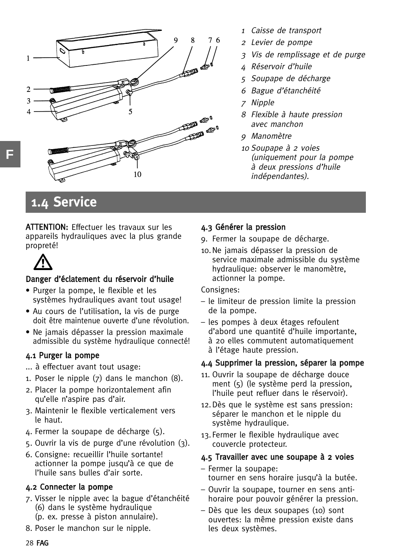

- 1Caisse de transport
- <sup>2</sup> Levier de pompe
- 3 Vis de remplissage et de purge
- 4 Réservoir d'huile
- 5 Soupape de décharge
- 6 Bague d'étanchéité
- 7 Nipple
- 8 Flexible à haute pression avec manchon
- 9 Manomètre
- <sup>10</sup> Soupape à 2 voies (uniquement pour la pompe à deux pressions d'huile indépendantes).

### **1.4 Service**

ATTENTION: Effectuer les travaux sur les appareils hydrauliques avec la plus grande propreté!



### Danger d'éclatement du réservoir d'huile

- Purger la pompe, le flexible et les systèmes hydrauliques avant tout usage!
- Au cours de l'utilisation, la vis de purge doit être maintenue ouverte d'une révolution.
- Ne jamais dépasser la pression maximale admissible du système hydraulique connecté!

### 4.1 Purger la pompe

- ... à effectuer avant tout usage:
- 1. Poser le nipple (7) dans le manchon (8).
- 2. Placer la pompe horizontalement afin qu'elle n'aspire pas d'air.
- 3. Maintenir le flexible verticalement vers le haut.
- 4. Fermer la soupape de décharge (5).
- 5. Ouvrir la vis de purge d'une révolution (3).
- 6. Consigne: recueillir l'huile sortante! actionner la pompe jusqu'à ce que de l'huile sans bulles d'air sorte.

### 4.2 Connecter la pompe

- 7. Visser le nipple avec la bague d'étanchéité (6) dans le système hydraulique (p. ex. presse à piston annulaire).
- 8. Poser le manchon sur le nipple.

### 4.3 Générer la pression

- 9. Fermer la soupape de décharge.
- 10.Ne jamais dépasser la pression de service maximale admissible du système hydraulique: observer le manomètre, actionner la pompe.

Consignes:

- le limiteur de pression limite la pression de la pompe.
- les pompes à deux étages refoulent d'abord une quantité d'huile importante, à 20 elles commutent automatiquement à l'étage haute pression.

### 4.4 Supprimer la pression, séparer la pompe

- 11. Ouvrir la soupape de décharge douce ment (5) (le système perd la pression, l'huile peut refluer dans le réservoir).
- 12.Dès que le système est sans pression: séparer le manchon et le nipple du système hydraulique.
- 13.Fermer le flexible hydraulique avec couvercle protecteur.

### 4.5 Travailler avec une soupape à 2 voies

- Fermer la soupape: tourner en sens horaire jusqu'à la butée.
- Ouvrir la soupape, tourner en sens antihoraire pour pouvoir générer la pression.
- Dès que les deux soupapes (10) sont ouvertes: la même pression existe dans les deux systèmes.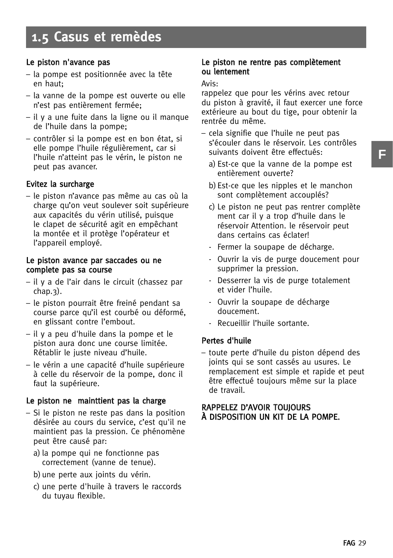#### Le piston n'avance pas

- la pompe est positionnée avec la tête en haut;
- la vanne de la pompe est ouverte ou elle n'est pas entièrement fermée;
- il y a une fuite dans la ligne ou il manque de l'huile dans la pompe;
- contrôler si la pompe est en bon état, si elle pompe l'huile régulièrement, car si l'huile n'atteint pas le vérin, le piston ne peut pas avancer.

#### Evitez la surcharge

– le piston n'avance pas même au cas où la charge qu'on veut soulever soit supérieure aux capacités du vérin utilisé, puisque le clapet de sécurité agit en empêchant la montée et il protège l'opérateur et l'appareil employé.

#### Le piston avance par saccades ou ne complete pas sa course

- il y a de l'air dans le circuit (chassez par chap.3).
- le piston pourrait être freiné pendant sa course parce qu'il est courbé ou déformé, en glissant contre l'embout.
- il y a peu d'huile dans la pompe et le piston aura donc une course limitée. Rétablir le juste niveau d'huile.
- le vérin a une capacité d'huile supérieure à celle du réservoir de la pompe, donc il faut la supérieure.

#### Le piston ne mainttient pas la charge

- Si le piston ne reste pas dans la position désirée au cours du service, c'est qu'il ne maintient pas la pression. Ce phénomène peut être causé par:
	- a) la pompe qui ne fonctionne pas correctement (vanne de tenue).
	- b)une perte aux joints du vérin.
	- c) une perte d'huile à travers le raccords du tuyau flexible.

#### Le piston ne rentre pas complètement ou lentement

#### Avis:

rappelez que pour les vérins avec retour du piston à gravité, il faut exercer une force extérieure au bout du tige, pour obtenir la rentrée du même.

- cela signifie que l'huile ne peut pas s'écouler dans le réservoir. Les contrôles suivants doivent être effectués:
	- a) Est-ce que la vanne de la pompe est entièrement ouverte?
	- b)Est-ce que les nipples et le manchon sont complètement accouplés?
	- c) Le piston ne peut pas rentrer complète ment car il y a trop d'huile dans le réservoir Attention. le réservoir peut dans certains cas éclater!
	- Fermer la soupape de décharge.
	- Ouvrir la vis de purge doucement pour supprimer la pression.
	- Desserrer la vis de purge totalement et vider l'huile.
	- Ouvrir la soupape de décharge doucement.
	- Recueillir l'huile sortante.

#### Pertes d'huile

– toute perte d'huile du piston dépend des joints qui se sont cassés au usures. Le remplacement est simple et rapide et peut être effectué toujours même sur la place de travail.

#### RAPPELEZ D'AVOIR TOUJOURS À DISPOSITION UN KIT DE LA POMPE.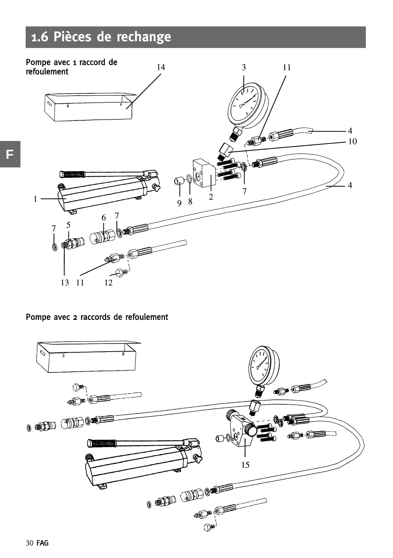### **1.6 Pièces de rechange**



### Pompe avec 2 raccords de refoulement

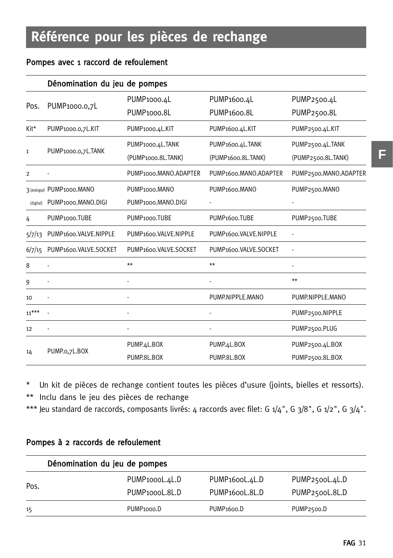### Pompes avec 1 raccord de refoulement

|           | Dénomination du jeu de pompes |                            |                              |                       |
|-----------|-------------------------------|----------------------------|------------------------------|-----------------------|
|           |                               | PUMP1000.4L                | PUMP <sub>1600.4</sub> L     | PUMP2500.4L           |
| Pos.      | PUMP1000.0,7L                 | PUMP <sub>1000.8L</sub>    | PUMP <sub>1600.8L</sub>      | PUMP2500.8L           |
| Kit*      | PUMP1000.0,7L.KIT             | PUMP1000.4L.KIT            | PUMP <sub>1600.4</sub> L.KIT | PUMP2500.4L.KIT       |
|           |                               | PUMP1000.4L.TANK           | PUMP1600.4L.TANK             | PUMP2500.4L.TANK      |
| 1         | PUMP1000.0,7L.TANK            | (PUMP1000.8L.TANK)         | (PUMP1600.8L.TANK)           | (PUMP2500.8L.TANK)    |
| 2         |                               | PUMP1000.MANO.ADAPTER      | PUMP1600.MANO.ADAPTER        | PUMP2500.MANO.ADAPTER |
|           | 3 (analogue) PUMP1000.MANO    | PUMP <sub>1000</sub> .MANO | PUMP <sub>1600</sub> .MANO   | PUMP2500.MANO         |
| (digital) | PUMP1000.MANO.DIGI            | PUMP1000.MANO.DIGI         |                              |                       |
| 4         | PUMP <sub>1000</sub> .TUBE    | PUMP <sub>1000</sub> .TUBE | PUMP <sub>1600</sub> .TUBE   | PUMP2500.TUBE         |
| 5/7/13    | PUMP1600.VALVE.NIPPLE         | PUMP1600.VALVE.NIPPLE      | PUMP1600.VALVE.NIPPLE        |                       |
| 6/7/15    | PUMP1600.VALVE.SOCKET         | PUMP1600.VALVE.SOCKET      | PUMP1600.VALVE.SOCKET        |                       |
| 8         |                               | $**$                       | $**$                         |                       |
| 9         |                               |                            |                              | $**$                  |
| 10        |                               |                            | PUMP.NIPPLE.MANO             | PUMP.NIPPLE.MANO      |
| $11***$   |                               |                            |                              | PUMP2500.NIPPLE       |
| 12        |                               |                            |                              | PUMP2500.PLUG         |
|           |                               | PUMP.4L.BOX                | PUMP.4L.BOX                  | PUMP2500.4L.BOX       |
| 14        | PUMP.o,7L.BOX                 | PUMP.8L.BOX                | PUMP.8L.BOX                  | PUMP2500.8L.BOX       |

\* Un kit de pièces de rechange contient toutes les pièces d'usure (joints, bielles et ressorts). \*\* Inclu dans le jeu des pièces de rechange

\*\*\* Jeu standard de raccords, composants livrés: 4 raccords avec filet: G 1/4", G 3/8", G 1/2", G 3/4".

|  |  |  |  |  | Pompes à 2 raccords de refoulement |
|--|--|--|--|--|------------------------------------|
|--|--|--|--|--|------------------------------------|

|      | Dénomination du jeu de pompes |                             |                         |  |  |  |
|------|-------------------------------|-----------------------------|-------------------------|--|--|--|
|      | PUMP <sub>1000</sub> L.4L.D   | PUMP <sub>1600</sub> L.4L.D | PUMP2500L.4L.D          |  |  |  |
| Pos. | PUMP <sub>1000</sub> L.8L.D   | PUMP <sub>1600</sub> L.8L.D | PUMP2500L.8L.D          |  |  |  |
| 15   | PUMP <sub>1000</sub> .D       | PUMP <sub>1600</sub> .D     | PUMP <sub>2500</sub> .D |  |  |  |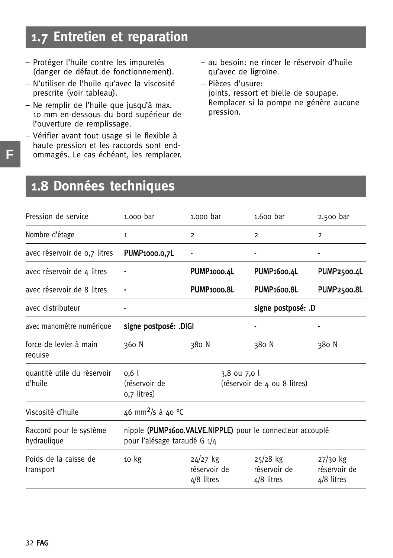### **1.7 Entretien et reparation**

- Protéger l'huile contre les impuretés (danger de défaut de fonctionnement).
- N'utiliser de l'huile qu'avec la viscosité prescrite (voir tableau).
- Ne remplir de l'huile que jusqu'à max. 10 mm en-dessous du bord supérieur de l'ouverture de remplissage.
- Vérifier avant tout usage si le flexible à haute pression et les raccords sont endommagés. Le cas échéant, les remplacer.
- au besoin: ne rincer le réservoir d'huile qu'avec de ligroïne.
- Pièces d'usure: joints, ressort et bielle de soupape. Remplacer si la pompe ne génère aucune pression.

### **1.8 Données techniques**

| Pression de service                    | 1.000 bar                                                                            | 1.000 bar                                  | $1.600$ bar                                                | 2.500 bar                                  |
|----------------------------------------|--------------------------------------------------------------------------------------|--------------------------------------------|------------------------------------------------------------|--------------------------------------------|
| Nombre d'étage                         | $\mathbf{1}$                                                                         | $\overline{2}$                             | $\overline{2}$                                             | $\overline{2}$                             |
| avec réservoir de 0,7 litres           | PUMP <sub>1000</sub> .0.7L                                                           |                                            |                                                            |                                            |
| avec réservoir de 4 litres             |                                                                                      | PUMP1000.4L                                | <b>PUMP1600.4L</b>                                         | PUMP2500.4L                                |
| avec réservoir de 8 litres             |                                                                                      | PUMP <sub>1000.8L</sub>                    | <b>PUMP1600.8L</b>                                         | PUMP2500.8L                                |
| avec distributeur                      |                                                                                      |                                            | signe postposé: .D                                         |                                            |
| avec manomètre numérique               | signe postposé: .DIGI                                                                |                                            |                                                            |                                            |
| force de levier à main<br>requise      | 360 N                                                                                | 380 N                                      | 380 N                                                      | 380 N                                      |
| quantité utile du réservoir<br>d'huile | 3,8 ou 7,0 l<br>0.61<br>(réservoir de<br>(réservoir de 4 ou 8 litres)<br>0,7 litres) |                                            |                                                            |                                            |
| Viscosité d'huile                      | 46 mm <sup>2</sup> /s à 40 °C                                                        |                                            |                                                            |                                            |
| Raccord pour le système<br>hydraulique | pour l'alésage taraudé G 1/4                                                         |                                            | nipple (PUMP1600.VALVE.NIPPLE) pour le connecteur accouplé |                                            |
| Poids de la caisse de<br>transport     | 10 kg                                                                                | $24/27$ kg<br>réservoir de<br>$4/8$ litres | $25/28$ kg<br>réservoir de<br>$4/8$ litres                 | $27/30$ kg<br>réservoir de<br>$4/8$ litres |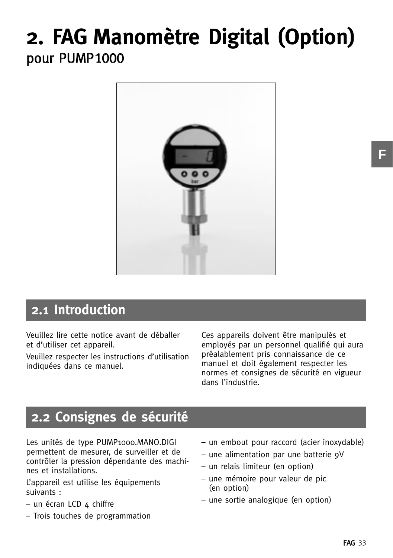## **2. FAG Manomètre Digital (Option)** pour PUMP1000



### **2.1 Introduction**

Veuillez lire cette notice avant de déballer et d'utiliser cet appareil.

Veuillez respecter les instructions d'utilisation indiquées dans ce manuel.

Ces appareils doivent être manipulés et employés par un personnel qualifié qui aura préalablement pris connaissance de ce manuel et doit également respecter les normes et consignes de sécurité en vigueur dans l'industrie.

### **2.2 Consignes de sécurité**

Les unités de type PUMP1000.MANO.DIGI permettent de mesurer, de surveiller et de contrôler la pression dépendante des machines et installations.

L'appareil est utilise les équipements suivants :

- $-$  un écran LCD  $4$  chiffre
- Trois touches de programmation
- un embout pour raccord (acier inoxydable)
- une alimentation par une batterie 9V
- un relais limiteur (en option)
- une mémoire pour valeur de pic (en option)
- une sortie analogique (en option)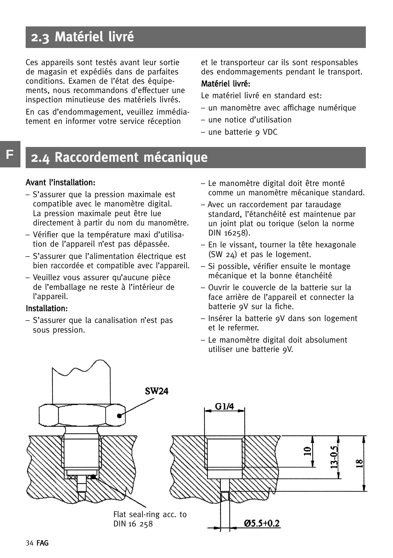### **2.3 Matériel livré**

Ces appareils sont testés avant leur sortie de magasin et expédiés dans de parfaites conditions. Examen de l'état des équipements, nous recommandons d'effectuer une inspection minutieuse des matériels livrés.

En cas d'endommagement, veuillez immédiatement en informer votre service réception

et le transporteur car ils sont responsables des endommagements pendant le transport.

### Matériel livré:

Le matériel livré en standard est:

- un manomètre avec affichage numérique
- une notice d'utilisation
- une batterie 9 VDC

### **2.4 Raccordement mécanique**

#### Avant l'installation:

**F**

- S'assurer que la pression maximale est compatible avec le manomètre digital. La pression maximale peut être lue directement à partir du nom du manomètre.
- Vérifier que la température maxi d'utilisation de l'appareil n'est pas dépassée.
- S'assurer que l'alimentation électrique est bien raccordée et compatible avec l'appareil.
- Veuillez vous assurer qu'aucune pièce de l'emballage ne reste à l'intérieur de l'appareil.

#### Installation:

– S'assurer que la canalisation n'est pas sous pression.

- Le manomètre digital doit être monté comme un manomètre mécanique standard.
- Avec un raccordement par taraudage standard, l'étanchéité est maintenue par un joint plat ou torique (selon la norme DIN 16258).
- En le vissant, tourner la tête hexagonale (SW 24) et pas le logement.
- Si possible, vérifier ensuite le montage mécanique et la bonne étanchéité
- Ouvrir le couvercle de la batterie sur la face arrière de l'appareil et connecter la batterie 9V sur la fiche.
- Insérer la batterie 9V dans son logement et le refermer.
- Le manomètre digital doit absolument utiliser une batterie 9V.

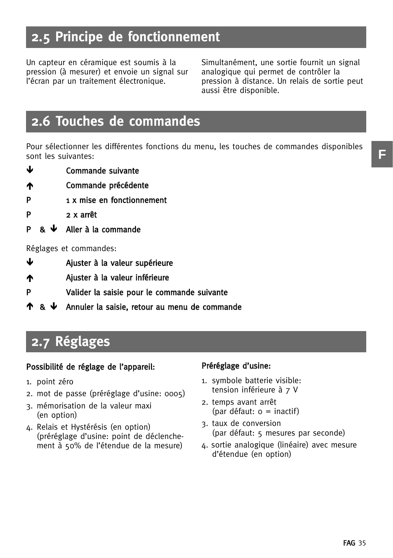### **2.5 Principe de fonctionnement**

Un capteur en céramique est soumis à la pression (à mesurer) et envoie un signal sur l'écran par un traitement électronique.

Simultanément, une sortie fournit un signal analogique qui permet de contrôler la pression à distance. Un relais de sortie peut aussi être disponible.

### **2.6 Touches de commandes**

Pour sélectionner les différentes fonctions du menu, les touches de commandes disponibles sont les suivantes:

- -Commande suivante
- Commande précédente
- P 1 x mise en fonctionnement
- P 2 x arrêt
- **P** &  $\downarrow$ Aller à la commande

Réglages et commandes:

- $\mathbf{r}$ Ajuster à la valeur supérieure
- Ajuster à la valeur inférieure
- P Valider la saisie pour le commande suivante
- $\uparrow$  &  $\downarrow$  Annuler la saisie, retour au menu de commande

### **2.7 Réglages**

#### Possibilité de réglage de l'appareil:

- 1. point zéro
- 2. mot de passe (préréglage d'usine: 0005)
- 3. mémorisation de la valeur maxi (en option)
- 4. Relais et Hystérésis (en option) (préréglage d'usine: point de déclenchement à 50% de l'étendue de la mesure)

#### Préréglage d'usine:

- 1. symbole batterie visible: tension inférieure à 7 V
- 2. temps avant arrêt  $\text{(par défaut: o = inactif)}$
- 3. taux de conversion (par défaut: 5 mesures par seconde)
- 4. sortie analogique (linéaire) avec mesure d'étendue (en option)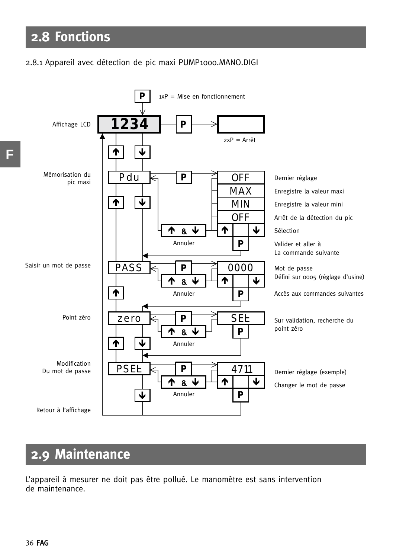### **2.8 Fonctions**

#### 2.8.1 Appareil avec détection de pic maxi PUMP1000.MANO.DIGI



### **2.9 Maintenance**

L'appareil à mesurer ne doit pas être pollué. Le manomètre est sans intervention de maintenance.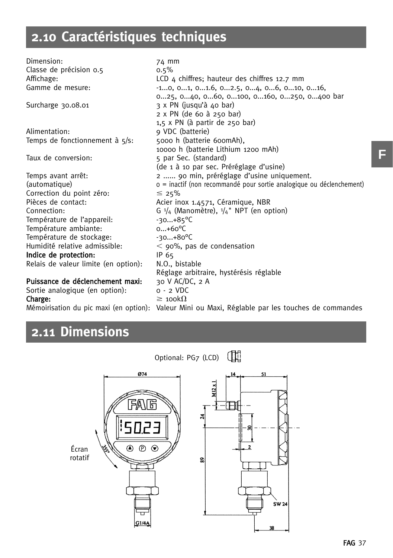### **2.10 Caractéristiques techniques**

Dimension: 74 mm Classe de précision 0.5 0.5% Affichage:  $LCD 4$  chiffres; hauteur des chiffres 12.7 mm Gamme de mesure:  $-1...0, 0...1, 0...1.6, 0...2.5, 0...4, 0...6, 0...10, 0...16,$ 0...25, 0...40, 0...60, 0...100, 0...160, 0...250, 0...400 bar Surcharge 30.08.01  $\overline{3} \times \overline{PN}$  (jusqu'à 40 bar) 2 x PN (de 60 à 250 bar) 1,5 x PN (à partir de 250 bar) Alimentation: 9 VDC (batterie)<br>Temps de fonctionnement à  $s/s$ : 5000 h (batterie 600mAh). Temps de fonctionnement à  $5/5$ : 10000 h (batterie Lithium 1200 mAh) Taux de conversion: 5 par Sec. (standard) (de 1 à 10 par sec. Préréglage d'usine) Temps avant arrêt: 2 ...... 90 min, préréglage d'usine uniquement. (automatique) 0 = inactif (non recommandé pour sortie analogique ou déclenchement) Correction du point zéro:<br>Pièces de contact:  $\leq 25\%$ Acier inox 1.4571, Céramique, NBR Connection: G  $\frac{1}{4}$  (Manomètre),  $\frac{1}{4}$ " NPT (en option) Température de l'appareil:  $\frac{-30...+85^{\circ}C}{20}$ Température ambiante: 0...+60°C<br>Température de stockage: 30...+80°C Température de stockage: Humidité relative admissible:  $<$  90%, pas de condensation Indice de protection: IP 65 Relais de valeur limite (en option): N.O., bistable Réglage arbitraire, hystérésis réglable Puissance de déclenchement maxi: 30 V AC/DC, 2 A Sortie analogique (en option): 0 - 2 VDC Charge:  $\geq 100k\Omega$ 

Mémoirisation du pic maxi (en option): Valeur Mini ou Maxi, Réglable par les touches de commandes

### **2.11 Dimensions**



**F**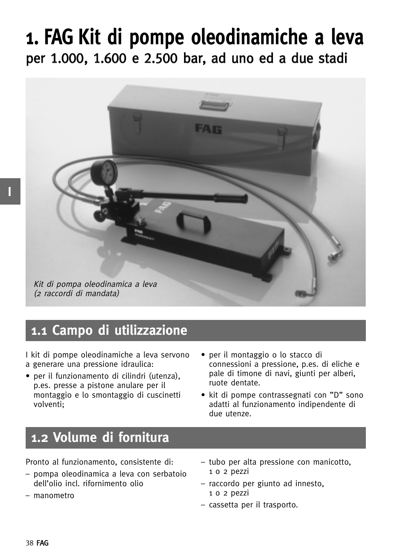## **1. FAG Kit di pompe oleodinamiche a leva** per 1.000, 1.600 e 2.500 bar, ad uno ed a due stadi



### **1.1 Campo di utilizzazione**

I kit di pompe oleodinamiche a leva servono a generare una pressione idraulica:

- per il funzionamento di cilindri (utenza), p.es. presse a pistone anulare per il montaggio e lo smontaggio di cuscinetti volventi;
- per il montaggio o lo stacco di connessioni a pressione, p.es. di eliche e pale di timone di navi, giunti per alberi, ruote dentate.
- kit di pompe contrassegnati con "D" sono adatti al funzionamento indipendente di due utenze.

### **1.2 Volume di fornitura**

Pronto al funzionamento, consistente di:

- pompa oleodinamica a leva con serbatoio dell'olio incl. rifornimento olio
- manometro
- tubo per alta pressione con manicotto, 1 o 2 pezzi
- raccordo per giunto ad innesto, 1 o 2 pezzi
- cassetta per il trasporto.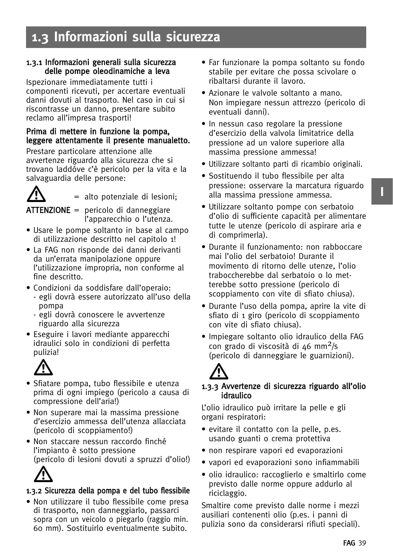### **1.3 Informazioni sulla sicurezza**

#### 1.3.1 Informazioni generali sulla sicurezza delle pompe oleodinamiche a leva

Ispezionare immediatamente tutti i componenti ricevuti, per accertare eventuali danni dovuti al trasporto. Nel caso in cui si riscontrasse un danno, presentare subito reclamo all'impresa trasporti!

#### Prima di mettere in funzione la pompa, leggere attentamente il presente manualetto.

Prestare particolare attenzione alle avvertenze riguardo alla sicurezza che si trovano laddóve c'è pericolo per la vita e la salvaguardia delle persone:



= alto potenziale di lesioni;

 $ATTENZIONE =$  pericolo di danneggiare l'apparecchio o l'utenza.

- Usare le pompe soltanto in base al campo di utilizzazione descritto nel capitolo 1!
- La FAG non risponde dei danni derivanti da un'errata manipolazione oppure l'utilizzazione impropria, non conforme al fine descritto.
- Condizioni da soddisfare dall'operaio:
	- egli dovrà essere autorizzato all'uso della pompa
	- egli dovrà conoscere le avvertenze riguardo alla sicurezza
- Eseguire i lavori mediante apparecchi idraulici solo in condizioni di perfetta pulizia!



- Sfiatare pompa, tubo flessibile e utenza prima di ogni impiego (pericolo a causa di compressione dell'aria!)
- Non superare mai la massima pressione d'esercizio ammessa dell'utenza allacciata (pericolo di scoppiamento!)
- Non staccare nessun raccordo finché l'impianto è sotto pressione (pericolo di lesioni dovuti a spruzzi d'olio!)



### 1.3.2 Sicurezza della pompa e del tubo flessibile

• Non utilizzare il tubo flessibile come presa di trasporto, non danneggiarlo, passarci sopra con un veicolo o piegarlo (raggio min. 60 mm). Sostituirlo eventualmente subito.

- Far funzionare la pompa soltanto su fondo stabile per evitare che possa scivolare o ribaltarsi durante il lavoro.
- Azionare le valvole soltanto a mano. Non impiegare nessun attrezzo (pericolo di eventuali danni).
- In nessun caso regolare la pressione d'esercizio della valvola limitatrice della pressione ad un valore superiore alla massima pressione ammessa!
- Utilizzare soltanto parti di ricambio originali.
- Sostituendo il tubo flessibile per alta pressione: osservare la marcatura riguardo alla massima pressione ammessa.
- Utilizzare soltanto pompe con serbatoio d'olio di sufficiente capacità per alimentare tutte le utenze (pericolo di aspirare aria e di comprimerla).
- Durante il funzionamento: non rabboccare mai l'olio del serbatoio! Durante il movimento di ritorno delle utenze, l'olio traboccherebbe dal serbatoio o lo metterebbe sotto pressione (pericolo di scoppiamento con vite di sfiato chiusa).
- Durante l'uso della pompa, aprire la vite di sfiato di 1 giro (pericolo di scoppiamento con vite di sfiato chiusa).
- Impiegare soltanto olio idraulico della FAG con grado di viscosità di 46 mm2/s (pericolo di danneggiare le guarnizioni).



### 1.3 -.3 Avvertenze di sicurezza riguardo all'olio idraulico

L'olio idraulico può irritare la pelle e gli organi respiratori:

- evitare il contatto con la pelle, p.es. usando guanti o crema protettiva
- non respirare vapori ed evaporazioni
- vapori ed evaporazioni sono infiammabili
- olio idraulico: raccoglierlo e smaltirlo come previsto dalle norme oppure addurlo al riciclaggio.

Smaltire come previsto dalle norme i mezzi ausiliari contenenti olio (p.es. i panni di pulizia sono da considerarsi rifiuti speciali). **I**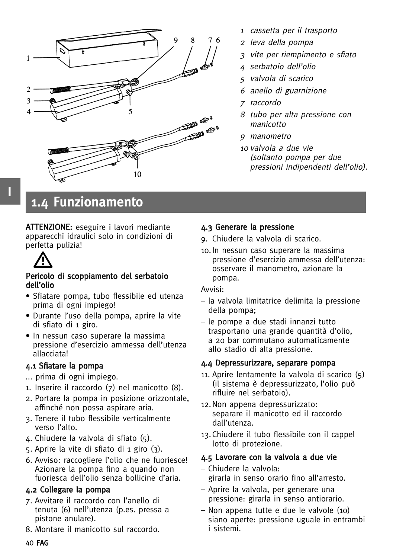

- 1cassetta per il trasporto
- <sup>2</sup> leva della pompa
- 3 vite per riempimento e sfiato
- 4 serbatoio dell'olio
- 5 valvola di scarico
- 6 anello di guarnizione
- 7 raccordo
- 8 tubo per alta pressione con manicotto
- 9 manometro
- <sup>10</sup> valvola a due vie (soltanto pompa per due pressioni indipendenti dell'olio).

**1.4 Funzionamento**

ATTENZIONE: eseguire i lavori mediante apparecchi idraulici solo in condizioni di perfetta pulizia!



**I**

#### Pericolo di scoppiamento del serbatoio dell'olio

- Sfiatare pompa, tubo flessibile ed utenza prima di ogni impiego!
- Durante l'uso della pompa, aprire la vite di sfiato di 1 giro.
- In nessun caso superare la massima pressione d'esercizio ammessa dell'utenza allacciata!

### 4.1 Sfiatare la pompa

- ... prima di ogni impiego.
- 1. Inserire il raccordo (7) nel manicotto (8).
- 2. Portare la pompa in posizione orizzontale, affinché non possa aspirare aria.
- 3. Tenere il tubo flessibile verticalmente verso l'alto.
- 4. Chiudere la valvola di sfiato (5).
- 5. Aprire la vite di sfiato di 1 giro (3).
- 6. Avviso: raccogliere l'olio che ne fuoriesce! Azionare la pompa fino a quando non fuoriesca dell'olio senza bollicine d'aria.

### 4.2 Collegare la pompa

- 7. Avvitare il raccordo con l'anello di tenuta (6) nell'utenza (p.es. pressa a pistone anulare).
- 8. Montare il manicotto sul raccordo.

### 4.3 Generare la pressione

- 9. Chiudere la valvola di scarico.
- 10.In nessun caso superare la massima pressione d'esercizio ammessa dell'utenza: osservare il manometro, azionare la pompa.

Avvisi:

- la valvola limitatrice delimita la pressione della pompa;
- le pompe a due stadi innanzi tutto trasportano una grande quantità d'olio, a 20 bar commutano automaticamente allo stadio di alta pressione.

### 4.4 Depressurizzare, separare pompa

- 11. Aprire lentamente la valvola di scarico (5) (il sistema è depressurizzato, l'olio può rifluire nel serbatoio).
- 12.Non appena depressurizzato: separare il manicotto ed il raccordo dall'utenza.
- 13.Chiudere il tubo flessibile con il cappel lotto di protezione.

### 4.5 Lavorare con la valvola a due vie

- Chiudere la valvola: girarla in senso orario fino all'arresto.
- Aprire la valvola, per generare una pressione: girarla in senso antiorario.
- Non appena tutte e due le valvole (10) siano aperte: pressione uguale in entrambi i sistemi.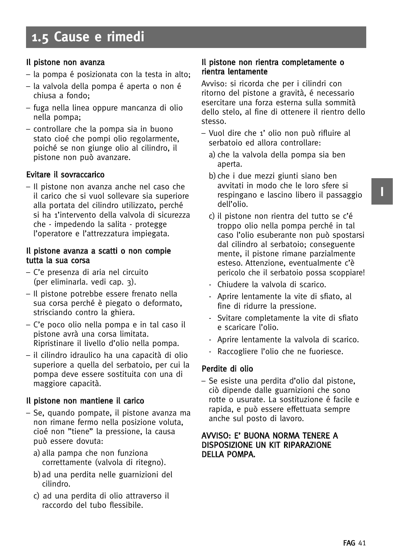#### Il pistone non avanza

- la pompa é posizionata con la testa in alto;
- la valvola della pompa é aperta o non é chiusa a fondo;
- fuga nella linea oppure mancanza di olio nella pompa;
- controllare che la pompa sia in buono stato cioé che pompi olio regolarmente, poiché se non giunge olio al cilindro, il pistone non può avanzare.

### Evitare il sovraccarico

– Il pistone non avanza anche nel caso che il carico che si vuol sollevare sia superiore alla portata del cilindro utilizzato, perché si ha 1'intervento della valvola di sicurezza che - impedendo la salita - protegge l'operatore e l'attrezzatura impiegata.

#### Il pistone avanza a scatti o non compie tutta la sua corsa

- C'e presenza di aria nel circuito (per eliminarla. vedi cap. 3).
- Il pistone potrebbe essere frenato nella sua corsa perché è piegato o deformato, strisciando contro la ghiera.
- C'e poco olio nella pompa e in tal caso il pistone avrà una corsa limitata. Ripristinare il livello d'olio nella pompa.
- il cilindro idraulico ha una capacità di olio superiore a quella del serbatoio, per cui la pompa deve essere sostituita con una di maggiore capacità.

### Il pistone non mantiene il carico

- Se, quando pompate, il pistone avanza ma non rimane fermo nella posizione voluta, cioé non "tiene" la pressione, la causa può essere dovuta:
	- a) alla pampa che non funziona correttamente (valvola di ritegno).
	- b)ad una perdita nelle guarnizioni del cilindro.
	- c) ad una perdita di olio attraverso il raccordo del tubo flessibile.

#### Il pistone non rientra completamente o rientra lentamente

Avviso: si ricorda che per i cilindri con ritorno del pistone a gravità, é necessario esercitare una forza esterna sulla sommità dello stelo, al fine di ottenere il rientro dello stesso.

- Vuol dire che 1' olio non può rifluire al serbatoio ed allora controllare:
	- a) che la valvola della pompa sia ben aperta.
	- b)che i due mezzi giunti siano ben avvitati in modo che le loro sfere si respingano e lascino libero il passaggio dell'olio.
	- c) il pistone non rientra del tutto se c'é troppo olio nella pompa perché in tal caso l'olio esuberante non può spostarsi dal cilindro al serbatoio; conseguente mente, il pistone rimane parzialmente esteso. Attenzione, eventualmente c'è pericolo che il serbatoio possa scoppiare!
	- Chiudere la valvola di scarico.
	- Aprire lentamente la vite di sfiato, al fine di ridurre la pressione.
	- Svitare completamente la vite di sfiato e scaricare l'olio.
	- Aprire lentamente la valvola di scarico.
	- Raccogliere l'olio che ne fuoriesce.

### Perdite di olio

– Se esiste una perdita d'olio dal pistone, ciò dipende dalle guarnizioni che sono rotte o usurate. La sostituzione é facile e rapida, e può essere effettuata sempre anche sul posto di lavoro.

#### AVVISO: E' BUONA NORMA TENERE A DISPOSIZIONE UN KIT RIPARAZIONE DELLA POMPA.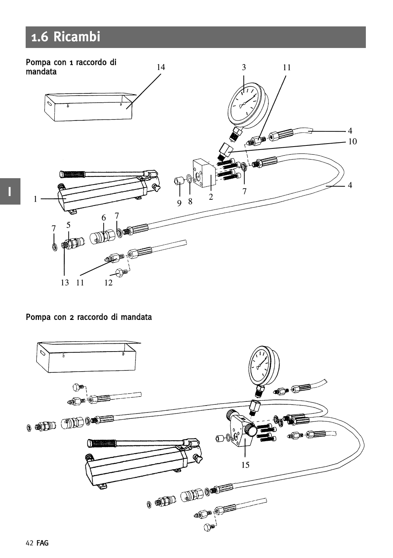### **1.6 Ricambi**



Pompa con 2 raccordo di mandata



**I**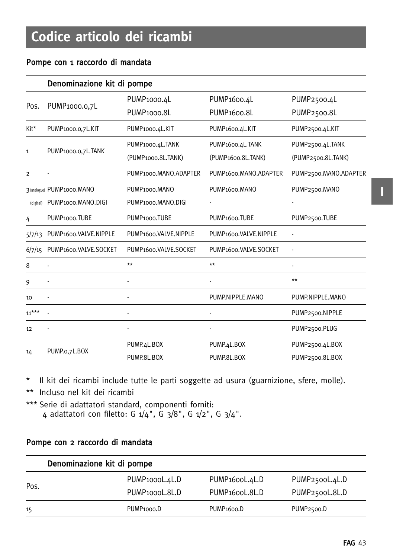### Pompe con 1 raccordo di mandata

|                | Denominazione kit di pompe |                            |                                    |                       |  |  |  |
|----------------|----------------------------|----------------------------|------------------------------------|-----------------------|--|--|--|
|                |                            | PUMP <sub>1000.4</sub> L   | PUMP <sub>1600.4</sub> L           | PUMP2500.4L           |  |  |  |
| Pos.           | PUMP1000.0,7L              | PUMP <sub>1000.8L</sub>    | PUMP <sub>1600.</sub> 81           | PUMP2500.8L           |  |  |  |
| Kit*           | PUMP1000.0,7L.KIT          | PUMP1000.4L.KIT            | PUMP1600.4L.KIT                    | PUMP2500.4L.KIT       |  |  |  |
|                |                            | PUMP1000.4L.TANK           | PUMP1600.4L.TANK                   | PUMP2500.4L.TANK      |  |  |  |
| $\mathbf{1}$   | PUMP1000.0,7L.TANK         | (PUMP1000.8L.TANK)         | (PUMP1600.8L.TANK)                 | (PUMP2500.8L.TANK)    |  |  |  |
| $\overline{2}$ |                            | PUMP1000.MANO.ADAPTER      | PUMP <sub>1600</sub> .MANO.ADAPTER | PUMP2500.MANO.ADAPTER |  |  |  |
|                | 3 (analogue) PUMP1000.MANO | PUMP1000.MANO              | PUMP <sub>1600</sub> .MANO         | PUMP2500.MANO         |  |  |  |
| (digital)      | PUMP1000.MANO.DIGI         | PUMP1000.MANO.DIGI         |                                    |                       |  |  |  |
| 4              | PUMP <sub>1000</sub> .TUBE | PUMP <sub>1000</sub> .TUBE | PUMP <sub>1600</sub> .TUBE         | PUMP2500.TUBE         |  |  |  |
| 5/7/13         | PUMP1600.VALVE.NIPPLE      | PUMP1600.VALVE.NIPPLE      | PUMP1600.VALVE.NIPPLE              |                       |  |  |  |
| 6/7/15         | PUMP1600.VALVE.SOCKET      | PUMP1600.VALVE.SOCKET      | PUMP1600.VALVE.SOCKET              |                       |  |  |  |
| 8              |                            | $**$                       | $**$                               |                       |  |  |  |
| 9              |                            |                            |                                    | $**$                  |  |  |  |
| 10             |                            |                            | PUMP.NIPPLE.MANO                   | PUMP.NIPPLE.MANO      |  |  |  |
| $11***$        |                            |                            |                                    | PUMP2500.NIPPLE       |  |  |  |
| 12             |                            |                            |                                    | PUMP2500.PLUG         |  |  |  |
|                |                            | PUMP.4L.BOX                | PUMP.4L.BOX                        | PUMP2500.4L.BOX       |  |  |  |
| 14             | PUMP.o,7L.BOX              | PUMP.8L.BOX                | PUMP.8L.BOX                        | PUMP2500.8L.BOX       |  |  |  |

\* Il kit dei ricambi include tutte le parti soggette ad usura (guarnizione, sfere, molle).

\*\* Incluso nel kit dei ricambi

\*\*\* Serie di adattatori standard, componenti forniti: 4 adattatori con filetto: G 1/4", G 3/8", G 1/2", G 3/4".

#### Pompe con 2 raccordo di mandata

|      | Denominazione kit di pompe  |                             |                |
|------|-----------------------------|-----------------------------|----------------|
| Pos. | PUMP <sub>1000</sub> L.4L.D | PUMP <sub>1600</sub> L.4L.D | PUMP2500L.4L.D |
|      | PUMP <sub>1000</sub> L.8L.D | PUMP <sub>1600</sub> L.8L.D | PUMP2500L.8L.D |
| 15   | PUMP <sub>1000</sub> .D     | PUMP <sub>1600</sub> .D     | PUMP2500.D     |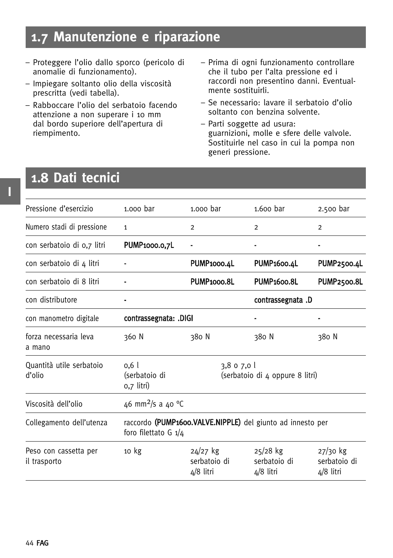### **1.7 Manutenzione e riparazione**

- Proteggere l'olio dallo sporco (pericolo di anomalie di funzionamento).
- Impiegare soltanto olio della viscosità prescritta (vedi tabella).
- Rabboccare l'olio del serbatoio facendo attenzione a non superare i 10 mm dal bordo superiore dell'apertura di riempimento.
- Prima di ogni funzionamento controllare che il tubo per l'alta pressione ed i raccordi non presentino danni. Eventualmente sostituirli.
- Se necessario: lavare il serbatoio d'olio soltanto con benzina solvente.
- Parti soggette ad usura: guarnizioni, molle e sfere delle valvole. Sostituirle nel caso in cui la pompa non generi pressione.

### **1.8 Dati tecnici**

| 1.000 bar<br>$\overline{2}$<br>Ē.                                                    | $1.600$ bar<br>2                                                                                                    | 2.500 bar<br>$\overline{2}$                    |
|--------------------------------------------------------------------------------------|---------------------------------------------------------------------------------------------------------------------|------------------------------------------------|
|                                                                                      |                                                                                                                     |                                                |
|                                                                                      |                                                                                                                     |                                                |
|                                                                                      |                                                                                                                     |                                                |
|                                                                                      | <b>PUMP1600.4L</b>                                                                                                  | <b>PUMP2500.4L</b>                             |
|                                                                                      | <b>PUMP1600.8L</b>                                                                                                  | <b>PUMP2500.8L</b>                             |
|                                                                                      | contrassegnata.D                                                                                                    |                                                |
|                                                                                      |                                                                                                                     |                                                |
|                                                                                      | 380 N                                                                                                               | 380 N                                          |
|                                                                                      |                                                                                                                     |                                                |
|                                                                                      |                                                                                                                     |                                                |
| raccordo (PUMP1600.VALVE.NIPPLE) del giunto ad innesto per<br>foro filettato G $1/4$ |                                                                                                                     |                                                |
|                                                                                      | $25/28$ kg<br>serbatoio di<br>4/8 litri                                                                             | $27/30$ kg<br>serbatoio di<br>$4/8$ litri      |
|                                                                                      | PUMP1000.4L<br>PUMP <sub>1000.8L</sub><br>contrassegnata: .DIGI<br>380 N<br>$24/27$ kg<br>serbatoio di<br>4/8 litri | 3,8 o 7,0 l<br>(serbatoio di 4 oppure 8 litri) |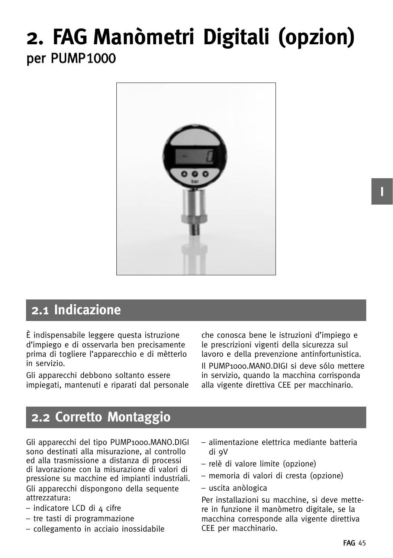## **2. FAG Manòmetri Digitali (opzion)** per PUMP1000



### **2.1 Indicazione**

È indispensabile leggere questa istruzione d'impiego e di osservarla ben precisamente prima di togliere l'apparecchio e di mètterlo in servizio.

Gli apparecchi debbono soltanto essere impiegati, mantenuti e riparati dal personale che conosca bene le istruzioni d'impiego e le prescrizioni vigenti della sicurezza sul lavoro e della prevenzione antinfortunistica. Il PUMP1000.MANO.DIGI si deve sólo mettere in servizio, quando la macchina corrisponda alla vigente direttiva CEE per macchinario.

### **2.2 Corretto Montaggio**

Gli apparecchi del tipo PUMP1000.MANO.DIGI sono destinati alla misurazione, al controllo ed alla trasmissione a distanza di processi di lavorazione con la misurazione di valori di pressione su macchine ed impianti industriali. Gli apparecchi dispongono della sequente attrezzatura:

- indicatore LCD di 4 cifre
- tre tasti di programmazione
- collegamento in acciaio inossidabile
- alimentazione elettrica mediante batteria di 9V
- relè di valore limite (opzione)
- memoria di valori di cresta (opzione)
- uscita anòlogica

Per installazioni su macchine, si deve mettere in funzione il manòmetro digitale, se la macchina corresponde alla vigente direttiva CEE per macchinario.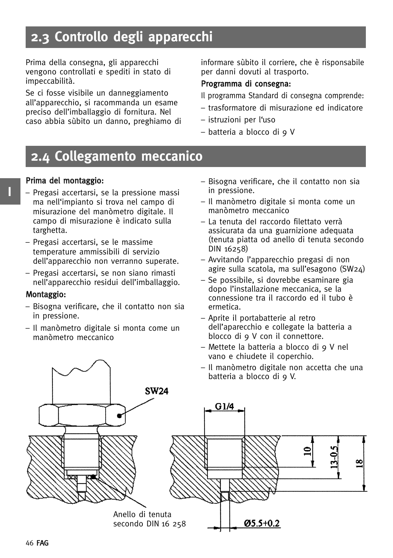### **2.3 Controllo degli apparecchi**

Prima della consegna, gli apparecchi vengono controllati e spediti in stato di impeccabilità.

Se ci fosse visibile un danneggiamento all'apparecchio, si racommanda un esame preciso dell'imballaggio di fornitura. Nel caso abbia sùbito un danno, preghiamo di informare sùbito il corriere, che è risponsabile per danni dovuti al trasporto.

#### Programma di consegna:

- Il programma Standard di consegna comprende:
- trasformatore di misurazione ed indicatore
- istruzioni per l'uso
- batteria a blocco di 9 V

### **2.4 Collegamento meccanico**

#### Prima del montaggio:

- Pregasi accertarsi, se la pressione massi ma nell'impianto si trova nel campo di misurazione del manòmetro digitale. Il campo di misurazione è indicato sulla targhetta.
- Pregasi accertarsi, se le massime temperature ammissibili di servizio dell'apparecchio non verranno superate.
- Pregasi accertarsi, se non siano rimasti nell'apparecchio residui dell'imballaggio.

#### Montaggio:

- Bisogna verificare, che il contatto non sia in pressione.
- Il manòmetro digitale si monta come un manòmetro meccanico
- Bisogna verificare, che il contatto non sia in pressione.
- Il manòmetro digitale si monta come un manòmetro meccanico
- La tenuta deI raccordo filettato verrà assicurata da una guarnizione adequata (tenuta piatta od anello di tenuta secondo DIN 16258)
- Avvitando l'apparecchio pregasi di non agire sulla scatola, ma sull'esagono (SW24)
- Se possibile, si dovrebbe esaminare gia dopo l'installazione meccanica, se la connessione tra il raccordo ed il tubo è ermetica.
- Aprite il portabatterie al retro dell'aparecchio e collegate la batteria a blocco di 9 V con il connettore.
- Mettete la batteria a blocco di 9 V nel vano e chiudete il coperchio.
- Il manòmetro digitale non accetta che una batteria a blocco di 9 V.

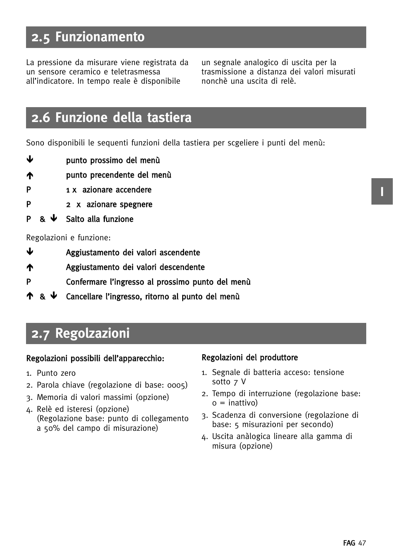### **2.5 Funzionamento**

La pressione da misurare viene registrata da un sensore ceramico e teletrasmessa all'indicatore. In tempo reale è disponibile

un segnale analogico di uscita per la trasmissione a distanza dei valori misurati nonchè una uscita di relè.

### **2.6 Funzione della tastiera**

Sono disponibili le sequenti funzioni della tastiera per scgeliere i punti del menù:

- punto prossimo del menù
- punto precendente del menù
- P 1 x azionare accendere
- P 2 x azionare spegnere
- **P** &  $\downarrow$ Salto alla funzione

#### Regolazioni e funzione:

- -Aggiustamento dei valori ascendente
- Aggiustamento dei valori descendente
- P Confermare l'ingresso al prossimo punto del menù
- <u>ተ & ቍ</u> Cancellare l'ingresso, ritorno al punto del menù

### **2.7 Regolzazioni**

#### Regolazioni possibili dell'apparecchio:

- 1. Punto zero
- 2. Parola chiave (regolazione di base: 0005)
- 3. Memoria di valori massimi (opzione)
- 4. Relè ed isteresi (opzione) (Regolazione base: punto di collegamento a 50% del campo di misurazione)

#### Regolazioni del produttore

- 1. Segnale di batteria acceso: tensione sotto 7 V
- 2. Tempo di interruzione (regolazione base:  $o =$  inattivo)
- 3. Scadenza di conversione (regolazione di base: 5 misurazioni per secondo)
- 4. Uscita anàlogica lineare alla gamma di misura (opzione)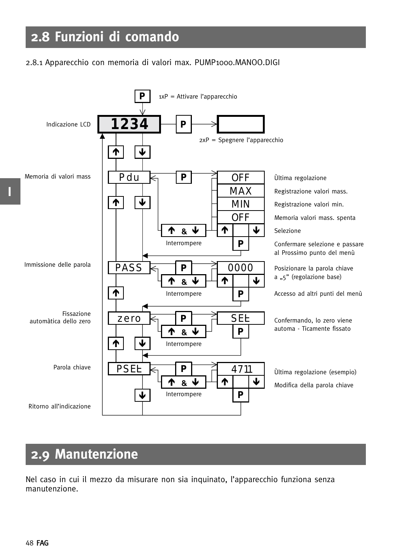### **2.8 Funzioni di comando**

#### 2.8.1 Apparecchio con memoria di valori max. PUMP1000.MANOO.DIGI



### **2.9 Manutenzione**

Nel caso in cui il mezzo da misurare non sia inquinato, l'apparecchio funziona senza manutenzione.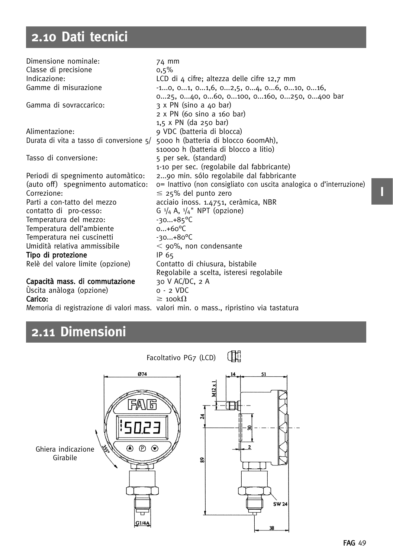## **2.10 Dati tecnici**

| Dimensione nominale:                       | 74 mm                                                               |
|--------------------------------------------|---------------------------------------------------------------------|
| Classe di precisione                       | 0,5%                                                                |
| Indicazione:                               | LCD di 4 cifre; altezza delle cifre 12,7 mm                         |
| Gamme di misurazione                       | $-10, 01, 01,6, 02,5, 04, 06, 010, 016,$                            |
|                                            | 025, 040, 060, 0100, 0160, 0250, 0400 bar                           |
| Gamma di sovraccarico:                     | 3 x PN (sino a 40 bar)                                              |
|                                            | 2 x PN (60 sino a 160 bar)                                          |
|                                            | $1,5 \times PN$ (da 250 bar)                                        |
| Alimentazione:                             | 9 VDC (batteria di blocca)                                          |
| Durata di vita a tasso di conversione $5/$ | 5000 h (batteria di blocco 600mAh),                                 |
|                                            | s10000 h (batteria di blocco a litio)                               |
| Tasso di conversione:                      | 5 per sek. (standard)                                               |
|                                            | 1-10 per sec. (regolabile dal fabbricante)                          |
| Periodi di spegnimento automàtico:         | 290 min. sólo regolabile dal fabbricante                            |
| (auto off) spegnimento automatico:         | o= Inattivo (non consigliato con uscita analogica o d'interruzione) |
| Correzione:                                | $\leq$ 25% del punto zero                                           |
| Parti a con-tatto del mezzo                | acciaio inoss. 1.4751, ceràmica, NBR                                |
| contatto di pro-cesso:                     | G $\frac{1}{4}$ A, $\frac{1}{4}$ NPT (opzione)                      |
| Temperatura del mezzo:                     | $-30+85^{\circ}C$                                                   |
| Temperatura dell'ambiente                  | $0+60^{\circ}C$                                                     |
| Temperatura nei cuscinetti                 | $-30+80^{\circ}C$                                                   |
| Umidità relativa ammissibile               | $<$ 90%, non condensante                                            |
| Tipo di protezione                         | IP 65                                                               |
| Relè del valore limite (opzione)           | Contatto di chiusura, bistabile                                     |
|                                            | Regolabile a scelta, isteresi regolabile                            |
| Capacità mass. di commutazione             | 30 V AC/DC, 2 A                                                     |
| Úscita anàloga (opzione)                   | $o - 2$ VDC                                                         |
| Carico:                                    | $\geq$ 100k $\Omega$                                                |

Memoria di registrazione di valori mass. valori min. o mass., ripristino via tastatura

### **2.11 Dimensioni**



### **I**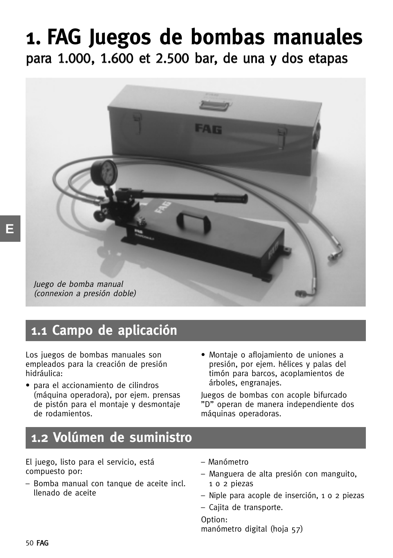## **1. FAG Juegos de bombas manuales** para 1.000, 1.600 et 2.500 bar, de una y dos etapas



### **1.1 Campo de aplicación**

Los juegos de bombas manuales son empleados para la creación de presión hidráulica:

- para el accionamiento de cilindros (máquina operadora), por ejem. prensas de pistón para el montaje y desmontaje de rodamientos.
- Montaje o aflojamiento de uniones a presión, por ejem. hélices y palas del timón para barcos, acoplamientos de árboles, engranajes.

Juegos de bombas con acople bifurcado "D" operan de manera independiente dos máquinas operadoras.

### **1.2 Volúmen de suministro**

El juego, listo para el servicio, está compuesto por:

- Bomba manual con tanque de aceite incl. llenado de aceite
- Manómetro
- Manguera de alta presión con manguito, 1 o 2 piezas
- Niple para acople de inserción, 1 o 2 piezas
- Cajita de transporte.

Option: manómetro digital (hoja 57)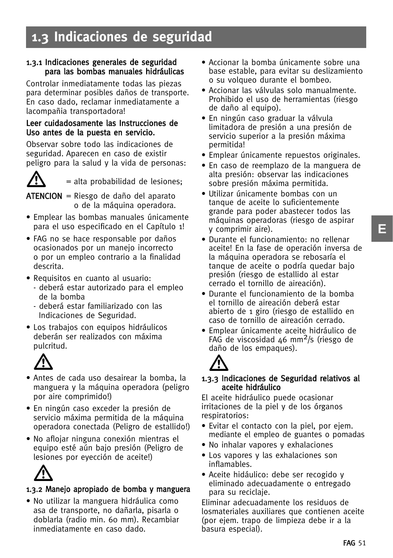### **1.3 Indicaciones de seguridad**

#### 1.3.1 Indicaciones generales de seguridad para las bombas manuales hidráulicas

Controlar inmediatamente todas las piezas para determinar posibles daños de transporte. En caso dado, reclamar inmediatamente a lacompañia transportadora!

#### Leer cuidadosamente las Instrucciones de Uso antes de la puesta en servicio.

Observar sobre todo las indicaciones de seguridad. Aparecen en caso de existir peligro para la salud y la vida de personas:



= alta probabilidad de lesiones;

 $ATENCION = Riesgo de daño del aparato$ o de la máquina operadora.

- Emplear las bombas manuales únicamente para el uso especificado en el Capítulo 1!
- FAG no se hace responsable por daños ocasionados por un manejo incorrecto o por un empleo contrario a la finalidad descrita.
- Requisitos en cuanto al usuario:
	- deberá estar autorizado para el empleo de la bomba
	- deberá estar familiarizado con las Indicaciones de Seguridad.
- Los trabajos con equipos hidráulicos deberán ser realizados con máxima pulcritud.



- Antes de cada uso desairear la bomba, la manguera y la máquina operadora (peligro por aire comprimido!)
- En ningún caso exceder la presión de servicio máxima permitida de la máquina operadora conectada (Peligro de estallido!)
- No aflojar ninguna conexión mientras el equipo esté aún bajo presión (Peligro de lesiones por eyección de aceite!)



### 1.3.2 Manejo apropiado de bomba y manguera

• No utilizar la manguera hidráulica como asa de transporte, no dañarla, pisarla o doblarla (radio min. 60 mm). Recambiar inmediatamente en caso dado.

- Accionar la bomba únicamente sobre una base estable, para evitar su deslizamiento o su volqueo durante el bombeo.
- Accionar las válvulas solo manualmente. Prohibido el uso de herramientas (riesgo de daño al equipo).
- En ningún caso graduar la válvula limitadora de presión a una presión de servicio superior a la presión máxima permitida!
- Emplear únicamente repuestos originales.
- En caso de reemplazo de la manguera de alta presión: observar las indicaciones sobre presión máxima permitida.
- Utilizar únicamente bombas con un tanque de aceite lo suficientemente grande para poder abastecer todos las máquinas operadoras (riesgo de aspirar y comprimir aire).
- Durante el funcionamiento: no rellenar aceite! En la fase de operación inversa de la máquina operadora se rebosaría el tanque de aceite o podría quedar bajo presión (riesgo de estallido al estar cerrado el tornillo de aireación).
- Durante el funcionamiento de la bomba el tornillo de aireación deberá estar abierto de 1 giro (riesgo de estallido en caso de tornillo de aireación cerrado.
- Emplear únicamente aceite hidráulico de FAG de viscosidad 46 mm<sup>2</sup>/s (riesgo de daño de los empaques).

### 1.3 -.3 Indicaciones de Seguridad relativos al aceite hidráulico

El aceite hidráulico puede ocasionar irritaciones de la piel y de los órganos respiratorios:

- Evitar el contacto con la piel, por ejem. mediante el empleo de guantes o pomadas
- No inhalar vapores y exhalaciones
- Los vapores y las exhalaciones son inflamables.
- Aceite hidáulico: debe ser recogido y eliminado adecuadamente o entregado para su reciclaje.

Eliminar adecuadamente los residuos de losmateriales auxiliares que contienen aceite (por ejem. trapo de limpieza debe ir a la basura especial).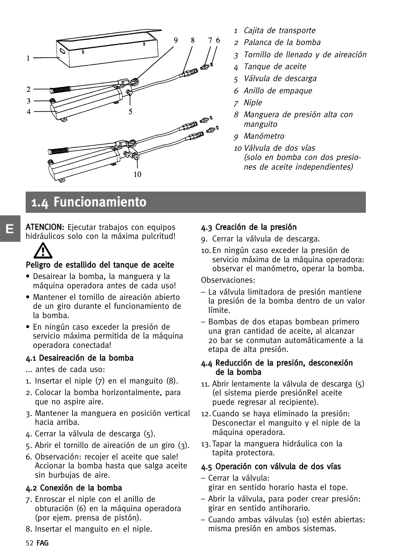

- 1Cajita de transporte
- <sup>2</sup> Palanca de la bomba
- 3 Tornillo de llenado y de aireación
- 4 Tanque de aceite
- 5 Válvula de descarga
- 6 Anillo de empaque
- 7 Niple
- 8 Manguera de presión alta con manguito
- 9 Manómetro
- <sup>10</sup> Válvula de dos vías (solo en bomba con dos presiones de aceite independientes)

### **1.4 Funcionamiento**

ATENCION: Ejecutar trabajos con equipos hidráulicos solo con la máxima pulcritud!

## Pe -ligro de estallido del tanque de aceite

- Desairear la bomba, la manguera y la máquina operadora antes de cada uso!
- Mantener el tornillo de aireación abierto de un giro durante el funcionamiento de la bomba.
- En ningún caso exceder la presión de servicio máxima permitida de la máquina operadora conectada!

### 4.1 Desaireación de la bomba

... antes de cada uso:

**E**

- 1. Insertar el niple (7) en el manguito (8).
- 2. Colocar la bomba horizontalmente, para que no aspire aire.
- 3. Mantener la manguera en posición vertical hacia arriba.
- 4. Cerrar la válvula de descarga (5).
- 5. Abrir el tornillo de aireación de un giro (3).
- 6. Observación: recojer el aceite que sale! Accionar la bomba hasta que salga aceite sin burbujas de aire.

### 4.2 Conexión de la bomba

- 7. Enroscar el niple con el anillo de obturación (6) en la máquina operadora (por ejem. prensa de pistón).
- 8. Insertar el manguito en el niple.

### 4.3 Creación de la presión

- 9. Cerrar la válvula de descarga.
- 10.En ningún caso exceder la presión de servicio máxima de la máquina operadora: observar el manómetro, operar la bomba.

#### Observaciones:

- La válvula limitadora de presión mantiene la presión de la bomba dentro de un valor límite.
- Bombas de dos etapas bombean primero una gran cantidad de aceite, al alcanzar 20 bar se conmutan automáticamente a la etapa de alta presión.

#### 4.4 Reducción de la presión, desconexión de la bomba

- 11. Abrir lentamente la válvula de descarga (5) (el sistema pierde presiónRel aceite puede regresar al recipiente).
- 12.Cuando se haya eliminado la presión: Desconectar el manguito y el niple de la máquina operadora.
- 13.Tapar la manguera hidráulica con la tapita protectora.

### 4.5 Operación con válvula de dos vías

- Cerrar la válvula:
	- girar en sentido horario hasta el tope.
- Abrir la válvula, para poder crear presión: girar en sentido antihorario.
- Cuando ambas válvulas (10) estén abiertas: misma presión en ambos sistemas.

52 FAG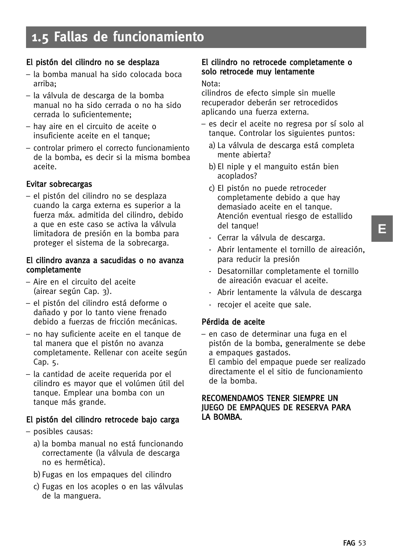### **1.5 Fallas de funcionamiento**

### El pistón del cilindro no se desplaza

- la bomba manual ha sido colocada boca arriba;
- la válvula de descarga de la bomba manual no ha sido cerrada o no ha sido cerrada lo suficientemente;
- hay aire en el circuito de aceite o insuficiente aceite en el tanque;
- controlar primero el correcto funcionamiento de la bomba, es decir si la misma bombea aceite.

### Evitar sobrecargas

– el pistón del cilindro no se desplaza cuando la carga externa es superior a la fuerza máx. admitida del cilindro, debido a que en este caso se activa la válvula limitadora de presión en la bomba para proteger el sistema de la sobrecarga.

#### El cilindro avanza a sacudidas o no avanza completamente

- Aire en el circuito del aceite (airear según Cap. 3).
- el pistón del cilindro está deforme o dañado y por lo tanto viene frenado debido a fuerzas de fricción mecánicas.
- no hay suficiente aceite en el tanque de tal manera que el pistón no avanza completamente. Rellenar con aceite según Cap. 5.
- la cantidad de aceite requerida por el cilindro es mayor que el volúmen útil del tanque. Emplear una bomba con un tanque más grande.

### El pistón del cilindro retrocede bajo carga

- posibles causas:
	- a) la bomba manual no está funcionando correctamente (la válvula de descarga no es hermética).
	- b)Fugas en los empaques del cilindro
	- c) Fugas en los acoples o en las válvulas de la manguera.

#### El cilindro no retrocede completamente o solo retrocede muy lentamente

#### Nota:

cilindros de efecto simple sin muelle recuperador deberán ser retrocedidos aplicando una fuerza externa.

- es decir el aceite no regresa por sí solo al tanque. Controlar los siguientes puntos:
	- a) La válvula de descarga está completa mente abierta?
	- b)El niple y el manguito están bien acoplados?
	- c) El pistón no puede retroceder completamente debido a que hay demasiado aceite en el tanque. Atención eventual riesgo de estallido del tanque!
	- Cerrar la válvula de descarga.
	- Abrir lentamente el tornillo de aireación, para reducir la presión
	- Desatornillar completamente el tornillo de aireación evacuar el aceite.
	- Abrir lentamente la válvula de descarga
	- recojer el aceite que sale.

### Pérdida de aceite

– en caso de determinar una fuga en el pistón de la bomba, generalmente se debe a empaques gastados.

El cambio del empaque puede ser realizado directamente el el sitio de funcionamiento de la bomba.

#### RECOMENDAMOS TENER SIEMPRE UN JUEGO DE EMPAQUES DE RESERVA PARA LA BOMBA.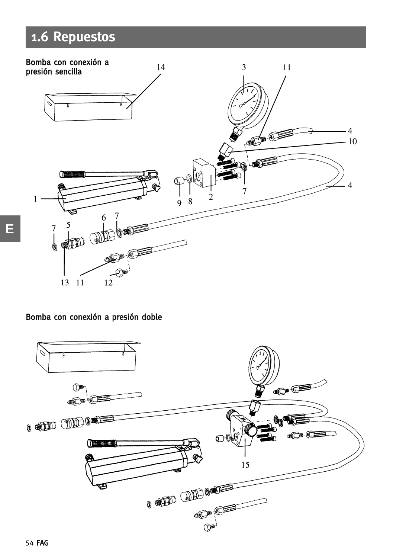### **1.6 Repuestos**



### Bomba con conexión a presión doble

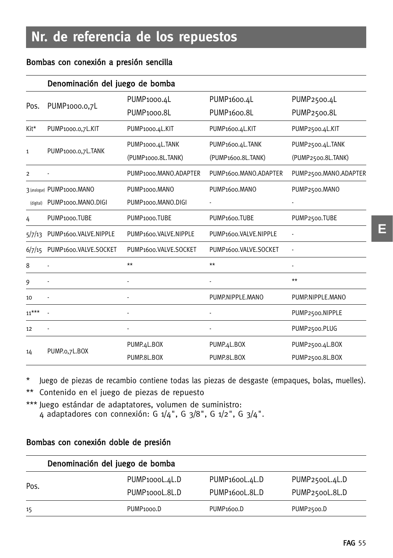### Bombas con conexión a presión sencilla

|                | Denominación del juego de bomba |                            |                              |                       |  |
|----------------|---------------------------------|----------------------------|------------------------------|-----------------------|--|
| Pos.           |                                 | PUMP <sub>1000.4</sub> L   | PUMP <sub>1600.4</sub> L     | PUMP2500.4L           |  |
|                | PUMP <sub>1000</sub> .0.7L      | PUMP <sub>1000.8L</sub>    | PUMP <sub>1600.8L</sub>      | PUMP2500.8L           |  |
| Kit*           | PUMP1000.0,7L.KIT               | PUMP1000.4L.KIT            | PUMP <sub>1600.4</sub> L.KIT | PUMP2500.4L.KIT       |  |
|                |                                 | PUMP1000.4L.TANK           | PUMP1600.4L.TANK             | PUMP2500.4L.TANK      |  |
| $\mathbf{1}$   | PUMP1000.0,7L.TANK              | (PUMP1000.8L.TANK)         | (PUMP1600.8L.TANK)           | (PUMP2500.8L.TANK)    |  |
| $\overline{2}$ |                                 | PUMP1000.MANO.ADAPTER      | PUMP1600.MANO.ADAPTER        | PUMP2500.MANO.ADAPTER |  |
|                | 3 (analogue) PUMP1000.MANO      | PUMP <sub>1000</sub> .MANO | PUMP <sub>1600</sub> .MANO   | PUMP2500.MANO         |  |
| (digital)      | PUMP1000.MANO.DIGI              | PUMP1000.MANO.DIGI         |                              |                       |  |
| 4              | PUMP <sub>1000</sub> .TUBE      | PUMP <sub>1000</sub> .TUBE | PUMP <sub>1600</sub> .TUBE   | PUMP2500.TUBE         |  |
| 5/7/13         | PUMP1600.VALVE.NIPPLE           | PUMP1600.VALVE.NIPPLE      | PUMP1600.VALVE.NIPPLE        |                       |  |
| 6/7/15         | PUMP1600.VALVE.SOCKET           | PUMP1600.VALVE.SOCKET      | PUMP1600.VALVE.SOCKET        |                       |  |
| 8              |                                 | $**$                       | $**$                         |                       |  |
| 9              |                                 |                            |                              | $**$                  |  |
| 10             |                                 |                            | PUMP.NIPPLE.MANO             | PUMP.NIPPLE.MANO      |  |
| $11***$        |                                 |                            |                              | PUMP2500.NIPPLE       |  |
| 12             |                                 |                            |                              | PUMP2500.PLUG         |  |
|                | PUMP.o,7L.BOX                   | PUMP.4L.BOX                | PUMP.4L.BOX                  | PUMP2500.4L.BOX       |  |
| 14             |                                 | PUMP.8L.BOX                | PUMP.8L.BOX                  | PUMP2500.8L.BOX       |  |

\* Juego de piezas de recambio contiene todas las piezas de desgaste (empaques, bolas, muelles).

\*\* Contenido en el juego de piezas de repuesto

\*\*\* Juego estándar de adaptatores, volumen de suministro: 4 adaptadores con connexión: G 1/4", G 3/8", G 1/2", G 3/4".

### Bombas con conexión doble de presión

|      | Denominación del juego de bomba |                             |                         |
|------|---------------------------------|-----------------------------|-------------------------|
| Pos. | PUMP <sub>1000</sub> L.4L.D     | PUMP <sub>1600</sub> L.4L.D | PUMP2500L.4L.D          |
|      | PUMP <sub>1000</sub> L.8L.D     | PUMP <sub>1600</sub> L.8L.D | PUMP2500L.8L.D          |
| 15   | PUMP <sub>1000</sub> .D         | PUMP <sub>1600</sub> .D     | PUMP <sub>2500</sub> .D |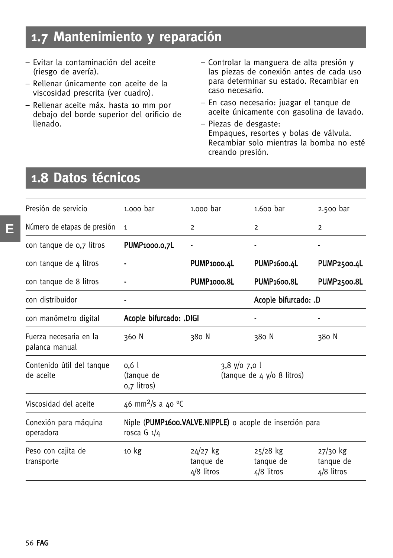### **1.7 Mantenimiento y reparación**

- Evitar la contaminación del aceite (riesgo de avería).
- Rellenar únicamente con aceite de la viscosidad prescrita (ver cuadro).
- Rellenar aceite máx. hasta 10 mm por debajo del borde superior del orificio de llenado.
- Controlar la manguera de alta presión y las piezas de conexión antes de cada uso para determinar su estado. Recambiar en caso necesario.
- En caso necesario: juagar el tanque de aceite únicamente con gasolina de lavado.
- Piezas de desgaste: Empaques, resortes y bolas de válvula. Recambiar solo mientras la bomba no esté creando presión.

### **1.8 Datos técnicos**

| Presión de servicio                      | 1.000 bar                                                                 | 1.000 bar                               | $1.600$ bar                             | 2.500 bar                               |
|------------------------------------------|---------------------------------------------------------------------------|-----------------------------------------|-----------------------------------------|-----------------------------------------|
| Número de etapas de presión              | 1                                                                         | $\overline{2}$                          | $\overline{2}$                          | $\overline{2}$                          |
| con tanque de 0,7 litros                 | PUMP1000.0,7L                                                             |                                         |                                         |                                         |
| con tanque de 4 litros                   |                                                                           | PUMP <sub>1000.4</sub> L                | PUMP <sub>1600.4</sub> L                | PUMP2500.4L                             |
| con tanque de 8 litros                   |                                                                           | PUMP <sub>1000.8L</sub>                 | <b>PUMP1600.8L</b>                      | <b>PUMP2500.8L</b>                      |
| con distribuidor                         |                                                                           |                                         | Acople bifurcado: .D                    |                                         |
| con manómetro digital                    | Acople bifurcado: .DIGI                                                   |                                         |                                         |                                         |
| Fuerza necesaria en la<br>palanca manual | 360 N                                                                     | 380 N                                   | 380 N                                   | 380 N                                   |
| Contenido útil del tanque<br>de aceite   | 0.6 <sub>l</sub><br>(tanque de<br>0,7 litros)                             | $3,8$ y/o 7,0 l                         | (tanque de 4 y/o 8 litros)              |                                         |
| Viscosidad del aceite                    | 46 mm <sup>2</sup> /s a 40 °C                                             |                                         |                                         |                                         |
| Conexión para máquina<br>operadora       | Niple (PUMP1600.VALVE.NIPPLE) o acople de inserción para<br>rosca G $1/4$ |                                         |                                         |                                         |
| Peso con cajita de<br>transporte         | 10 <sub>kg</sub>                                                          | $24/27$ kg<br>tanque de<br>$4/8$ litros | $25/28$ kg<br>tanque de<br>$4/8$ litros | $27/30$ kg<br>tanque de<br>$4/8$ litros |
|                                          |                                                                           |                                         |                                         |                                         |

**E**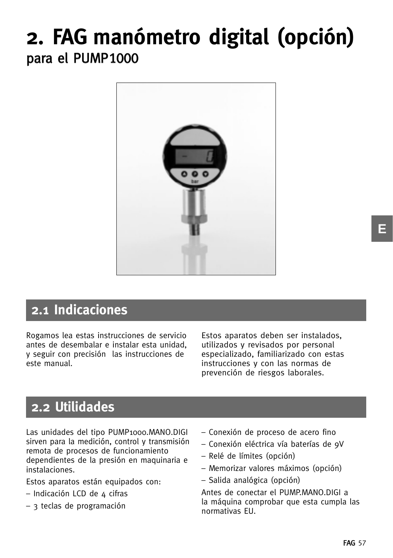## **2. FAG manómetro digital (opción)** para el PUMP1000



### **2.1 Indicaciones**

Rogamos lea estas instrucciones de servicio antes de desembalar e instalar esta unidad, y seguir con precisión las instrucciones de este manual.

Estos aparatos deben ser instalados, utilizados y revisados por personal especializado, familiarizado con estas instrucciones y con las normas de prevención de riesgos laborales.

### **2.2 Utilidades**

Las unidades del tipo PUMP1000.MANO.DIGI sirven para la medición, control y transmisión remota de procesos de funcionamiento dependientes de la presión en maquinaria e instalaciones.

Estos aparatos están equipados con:

- Indicación LCD de 4 cifras
- 3 teclas de programación
- Conexión de proceso de acero fino
- Conexión eléctrica vía baterías de 9V
- Relé de límites (opción)
- Memorizar valores máximos (opción)
- Salida analógica (opción)

Antes de conectar el PUMP.MANO.DIGI a la máquina comprobar que esta cumpla las normativas EU.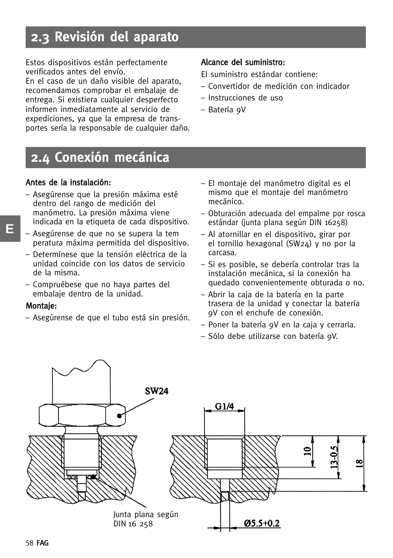### **2.3 Revisión del aparato**

Estos dispositivos están perfectamente verificados antes del envío.

En el caso de un daño visible del aparato, recomendamos comprobar el embalaje de entrega. Si existiera cualquier desperfecto informen inmediatamente al servicio de expediciones, ya que la empresa de transportes sería la responsable de cualquier daño.

#### Alcance del suministro:

El suministro estándar contiene:

- Convertidor de medición con indicador
- Instrucciones de uso
- Batería 9V

### **2.4 Conexión mecánica**

#### Antes de la instalación:

- Asegúrense que la presión máxima esté dentro del rango de medición del manómetro. La presión máxima viene indicada en la etiqueta de cada dispositivo.
- Asegúrense de que no se supera la tem peratura máxima permitida del dispositivo.
- Determínese que la tensión eléctrica de la unidad coincide con los datos de servicio de la misma.
- Compruébese que no haya partes del embalaje dentro de la unidad.

#### Montaje:

– Asegúrense de que el tubo está sin presión.

- El montaje del manómetro digital es el mismo que el montaje del manómetro mecánico.
- Obturación adecuada del empalme por rosca estándar (junta plana según DIN 16258)
- Al atornillar en el dispositivo, girar por el tornillo hexagonal (SW24) y no por la carcasa.
- Si es posible, se debería controlar tras la instalación mecánica, si la conexión ha quedado convenientemente obturada o no.
- Abrir la caja de la batería en la parte trasera de la unidad y conectar la batería 9V con el enchufe de conexión.
- Poner la batería 9V en la caja y cerrarla.
- Sólo debe utilizarse con batería 9V.

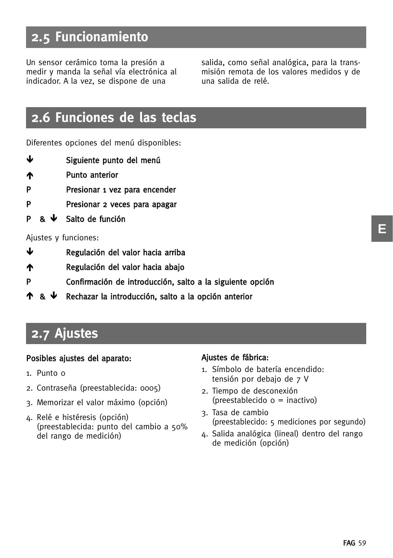### **2.5 Funcionamiento**

Un sensor cerámico toma la presión a medir y manda la señal vía electrónica al indicador. A la vez, se dispone de una

salida, como señal analógica, para la transmisión remota de los valores medidos y de una salida de relé.

### **2.6 Funciones de las teclas**

Diferentes opciones del menú disponibles:

- -Siguiente punto del menú
- **The State Punto anterior**
- P Presionar 1 vez para encender
- P Presionar 2 veces para apagar
- $P$  &  $\mathbf{\Psi}$ Salto de función

#### Ajustes y funciones:

- -Regulación del valor hacia arriba
- Regulación del valor hacia abajo
- P Confirmación de introducción, salto a la siguiente opción
- <u>ተ & ቍ</u> Rechazar la introducción, salto a la opción anterior

### **2.7 Ajustes**

#### Posibles ajustes del aparato:

- 1. Punto 0
- 2. Contraseña (preestablecida: 0005)
- 3. Memorizar el valor máximo (opción)
- 4. Relé e histéresis (opción) (preestablecida: punto del cambio a 50% del rango de medición)

#### Ajustes de fábrica:

- 1. Símbolo de batería encendido: tensión por debajo de 7 V
- 2. Tiempo de desconexión (preestablecido 0 = inactivo)
- 3. Tasa de cambio (preestablecido: 5 mediciones por segundo)
- 4. Salida analógica (lineal) dentro del rango de medición (opción)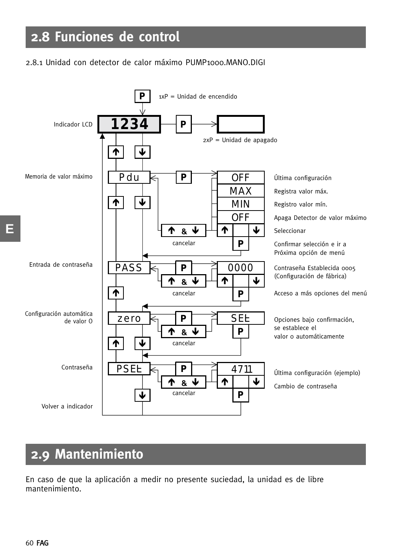### **2.8 Funciones de control**

### 2.8.1 Unidad con detector de calor máximo PUMP1000.MANO.DIGI



### **2.9 Mantenimiento**

En caso de que la aplicación a medir no presente suciedad, la unidad es de libre mantenimiento.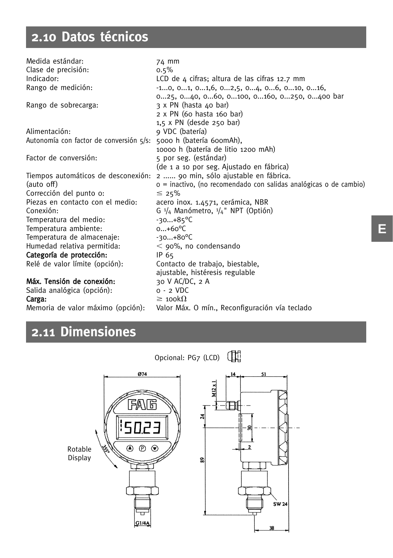## **2.10 Datos técnicos**

| Medida estándar:                                                 | 74 mm                                                                     |
|------------------------------------------------------------------|---------------------------------------------------------------------------|
| Clase de precisión:                                              | $0.5\%$                                                                   |
| Indicador:                                                       | LCD de 4 cifras; altura de las cifras 12.7 mm                             |
| Rango de medición:                                               | $-10, 01, 01,6, 02,5, 04, 06, 010, 016,$                                  |
|                                                                  | 025, 040, 060, 0100, 0160, 0250, 0400 bar                                 |
| Rango de sobrecarga:                                             | 3 x PN (hasta 40 bar)                                                     |
|                                                                  | 2 x PN (60 hasta 160 bar)                                                 |
|                                                                  | $1,5 \times PN$ (desde 250 bar)                                           |
| Alimentación:                                                    | 9 VDC (batería)                                                           |
| Autonomía con factor de conversión 5/s: 5000 h (batería 600mAh), |                                                                           |
|                                                                  | 10000 h (batería de litio 1200 mAh)                                       |
| Factor de conversión:                                            | 5 por seg. (estándar)                                                     |
|                                                                  | (de 1 a 10 por seg. Ajustado en fábrica)                                  |
|                                                                  | Tiempos automáticos de desconexión: 2  90 min, sólo ajustable en fábrica. |
| (auto off)                                                       | o = inactivo, (no recomendado con salidas analógicas o de cambio)         |
| Corrección del punto o:                                          | $\leq 25\%$                                                               |
| Piezas en contacto con el medio:                                 | acero inox. 1.4571, cerámica, NBR                                         |
| Conexión:                                                        | G $\frac{1}{4}$ Manómetro, $\frac{1}{4}$ " NPT (Optión)                   |
| Temperatura del medio:                                           | $-30+85^{\circ}C$                                                         |
| Temperatura ambiente:                                            | $0+60^{\circ}C$                                                           |
| Temperatura de almacenaje:                                       | $-30+80^{\circ}C$                                                         |
| Humedad relativa permitida:                                      | $<$ 90%, no condensando                                                   |
| Categoría de protección:                                         | IP 65                                                                     |
| Relé de valor límite (opción):                                   | Contacto de trabajo, biestable,                                           |
|                                                                  | ajustable, histéresis regulable                                           |
| Máx. Tensión de conexión:                                        | 30 V AC/DC, 2 A                                                           |
| Salida analógica (opción):                                       | o - 2 VDC                                                                 |

Valor Máx. O mín., Reconfiguración vía teclado

**Carga:**  $\geq 100k\Omega$ <br>Memoria de valor máximo (opción): Valor Máx

### **2.11 Dimensiones**